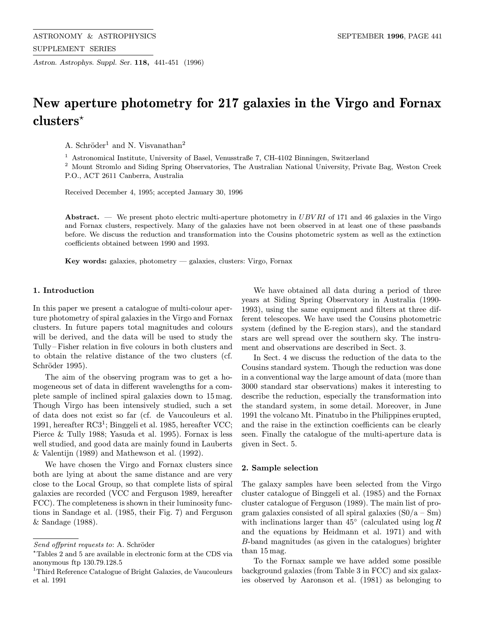Astron. Astrophys. Suppl. Ser. 118, 441-451 (1996)

# New aperture photometry for 217 galaxies in the Virgo and Fornax  $clusters^*$

A. Schröder<sup>1</sup> and N. Visvanathan<sup>2</sup>

<sup>1</sup> Astronomical Institute, University of Basel, Venusstraße 7, CH-4102 Binningen, Switzerland

<sup>2</sup> Mount Stromlo and Siding Spring Observatories, The Australian National University, Private Bag, Weston Creek P.O., ACT 2611 Canberra, Australia

Received December 4, 1995; accepted January 30, 1996

Abstract. — We present photo electric multi-aperture photometry in  $UBVRI$  of 171 and 46 galaxies in the Virgo and Fornax clusters, respectively. Many of the galaxies have not been observed in at least one of these passbands before. We discuss the reduction and transformation into the Cousins photometric system as well as the extinction coefficients obtained between 1990 and 1993.

Key words: galaxies, photometry — galaxies, clusters: Virgo, Fornax

# 1. Introduction

In this paper we present a catalogue of multi-colour aperture photometry of spiral galaxies in the Virgo and Fornax clusters. In future papers total magnitudes and colours will be derived, and the data will be used to study the Tully– Fisher relation in five colours in both clusters and to obtain the relative distance of the two clusters (cf. Schröder 1995).

The aim of the observing program was to get a homogeneous set of data in different wavelengths for a complete sample of inclined spiral galaxies down to 15 mag. Though Virgo has been intensively studied, such a set of data does not exist so far (cf. de Vaucouleurs et al. 1991, hereafter  $\text{RC3}^1$ ; Binggeli et al. 1985, hereafter VCC; Pierce & Tully 1988; Yasuda et al. 1995). Fornax is less well studied, and good data are mainly found in Lauberts & Valentijn (1989) and Mathewson et al. (1992).

We have chosen the Virgo and Fornax clusters since both are lying at about the same distance and are very close to the Local Group, so that complete lists of spiral galaxies are recorded (VCC and Ferguson 1989, hereafter FCC). The completeness is shown in their luminosity functions in Sandage et al. (1985, their Fig. 7) and Ferguson & Sandage (1988).

We have obtained all data during a period of three years at Siding Spring Observatory in Australia (1990- 1993), using the same equipment and filters at three different telescopes. We have used the Cousins photometric system (defined by the E-region stars), and the standard stars are well spread over the southern sky. The instrument and observations are described in Sect. 3.

In Sect. 4 we discuss the reduction of the data to the Cousins standard system. Though the reduction was done in a conventional way the large amount of data (more than 3000 standard star observations) makes it interesting to describe the reduction, especially the transformation into the standard system, in some detail. Moreover, in June 1991 the volcano Mt. Pinatubo in the Philippines erupted, and the raise in the extinction coefficients can be clearly seen. Finally the catalogue of the multi-aperture data is given in Sect. 5.

# 2. Sample selection

The galaxy samples have been selected from the Virgo cluster catalogue of Binggeli et al. (1985) and the Fornax cluster catalogue of Ferguson (1989). The main list of program galaxies consisted of all spiral galaxies  $(S0/a - Sm)$ with inclinations larger than  $45^\circ$  (calculated using  $\log R$ and the equations by Heidmann et al. 1971) and with B-band magnitudes (as given in the catalogues) brighter than 15 mag.

To the Fornax sample we have added some possible background galaxies (from Table 3 in FCC) and six galaxies observed by Aaronson et al. (1981) as belonging to

Send offprint requests to: A. Schröder

<sup>?</sup>Tables 2 and 5 are available in electronic form at the CDS via anonymous ftp 130.79.128.5

<sup>1</sup>Third Reference Catalogue of Bright Galaxies, de Vaucouleurs et al. 1991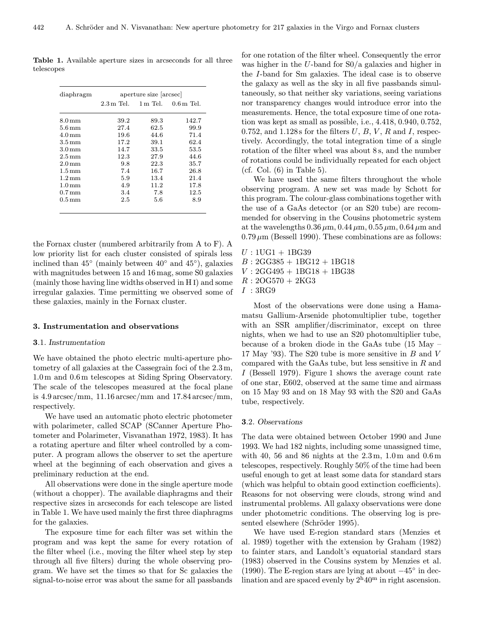Table 1. Available aperture sizes in arcseconds for all three telescopes

| diaphragm           | aperture size arcsec |          |             |  |  |  |  |  |  |
|---------------------|----------------------|----------|-------------|--|--|--|--|--|--|
|                     | $2.3m$ Tel.          | 1 m Tel. | $0.6m$ Tel. |  |  |  |  |  |  |
| 8.0 mm              | 39.2                 | 89.3     | 142.7       |  |  |  |  |  |  |
| $5.6 \,\mathrm{mm}$ | 27.4                 | 62.5     | 99.9        |  |  |  |  |  |  |
| 4.0 mm              | 19.6                 | 44.6     | 71.4        |  |  |  |  |  |  |
| $3.5 \,\mathrm{mm}$ | 17.2                 | 39.1     | 62.4        |  |  |  |  |  |  |
| 3.0 <sub>mm</sub>   | 14.7                 | 33.5     | 53.5        |  |  |  |  |  |  |
| $2.5 \,\rm{mm}$     | 12.3                 | 27.9     | 44.6        |  |  |  |  |  |  |
| $2.0 \,\mathrm{mm}$ | 9.8                  | 22.3     | 35.7        |  |  |  |  |  |  |
| $1.5 \,\mathrm{mm}$ | 7.4                  | 16.7     | 26.8        |  |  |  |  |  |  |
| $1.2 \,\mathrm{mm}$ | 5.9                  | 13.4     | 21.4        |  |  |  |  |  |  |
| $1.0 \,\mathrm{mm}$ | 4.9                  | 11.2     | 17.8        |  |  |  |  |  |  |
| $0.7 \,\mathrm{mm}$ | 3.4                  | 7.8      | 12.5        |  |  |  |  |  |  |
| $0.5 \,\mathrm{mm}$ | 2.5                  | 5.6      | 8.9         |  |  |  |  |  |  |

the Fornax cluster (numbered arbitrarily from A to F). A low priority list for each cluster consisted of spirals less inclined than  $45°$  (mainly between  $40°$  and  $45°$ ), galaxies with magnitudes between 15 and 16 mag, some S0 galaxies (mainly those having line widths observed in H I) and some irregular galaxies. Time permitting we observed some of these galaxies, mainly in the Fornax cluster.

## 3. Instrumentation and observations

## 3.1. Instrumentation

We have obtained the photo electric multi-aperture photometry of all galaxies at the Cassegrain foci of the 2.3 m, 1.0 m and 0.6 m telescopes at Siding Spring Observatory. The scale of the telescopes measured at the focal plane is  $4.9 \arcsec/mm$ ,  $11.16 \arcsec/mm$  and  $17.84 \arcsec/mm$ , respectively.

We have used an automatic photo electric photometer with polarimeter, called SCAP (SCanner Aperture Photometer and Polarimeter, Visvanathan 1972, 1983). It has a rotating aperture and filter wheel controlled by a computer. A program allows the observer to set the aperture wheel at the beginning of each observation and gives a preliminary reduction at the end.

All observations were done in the single aperture mode (without a chopper). The available diaphragms and their respective sizes in arcseconds for each telescope are listed in Table 1. We have used mainly the first three diaphragms for the galaxies.

The exposure time for each filter was set within the program and was kept the same for every rotation of the filter wheel (i.e., moving the filter wheel step by step through all five filters) during the whole observing program. We have set the times so that for Sc galaxies the signal-to-noise error was about the same for all passbands for one rotation of the filter wheel. Consequently the error was higher in the U-band for S0/a galaxies and higher in the I-band for Sm galaxies. The ideal case is to observe the galaxy as well as the sky in all five passbands simultaneously, so that neither sky variations, seeing variations nor transparency changes would introduce error into the measurements. Hence, the total exposure time of one rotation was kept as small as possible, i.e., 4.418, 0.940, 0.752, 0.752, and 1.128s for the filters  $U, B, V, R$  and  $I$ , respectively. Accordingly, the total integration time of a single rotation of the filter wheel was about 8 s, and the number of rotations could be individually repeated for each object (cf. Col.  $(6)$  in Table 5).

We have used the same filters throughout the whole observing program. A new set was made by Schott for this program. The colour-glass combinations together with the use of a GaAs detector (or an S20 tube) are recommended for observing in the Cousins photometric system at the wavelengths  $0.36 \mu m$ ,  $0.44 \mu m$ ,  $0.55 \mu m$ ,  $0.64 \mu m$  and  $0.79 \,\mu\text{m}$  (Bessell 1990). These combinations are as follows:

 $U:1$ UG1 + 1BG39  $B: 2GG385 + 1BG12 + 1BG18$  $V: 2GG495 + 1BG18 + 1BG38$  $R: 2OG570 + 2KG3$  $I : 3RG9$ 

Most of the observations were done using a Hamamatsu Gallium-Arsenide photomultiplier tube, together with an SSR amplifier/discriminator, except on three nights, when we had to use an S20 photomultiplier tube, because of a broken diode in the GaAs tube (15 May – 17 May '93). The S20 tube is more sensitive in B and V compared with the GaAs tube, but less sensitive in  $R$  and I (Bessell 1979). Figure 1 shows the average count rate of one star, E602, observed at the same time and airmass on 15 May 93 and on 18 May 93 with the S20 and GaAs tube, respectively.

#### 3.2. Observations

The data were obtained between October 1990 and June 1993. We had 182 nights, including some unassigned time, with 40, 56 and 86 nights at the  $2.3 \,\mathrm{m}$ ,  $1.0 \,\mathrm{m}$  and  $0.6 \,\mathrm{m}$ telescopes, respectively. Roughly 50% of the time had been useful enough to get at least some data for standard stars (which was helpful to obtain good extinction coefficients). Reasons for not observing were clouds, strong wind and instrumental problems. All galaxy observations were done under photometric conditions. The observing log is presented elsewhere (Schröder 1995).

We have used E-region standard stars (Menzies et al. 1989) together with the extension by Graham (1982) to fainter stars, and Landolt's equatorial standard stars (1983) observed in the Cousins system by Menzies et al. (1990). The E-region stars are lying at about  $-45^\circ$  in declination and are spaced evenly by  $2^h 40^m$  in right ascension.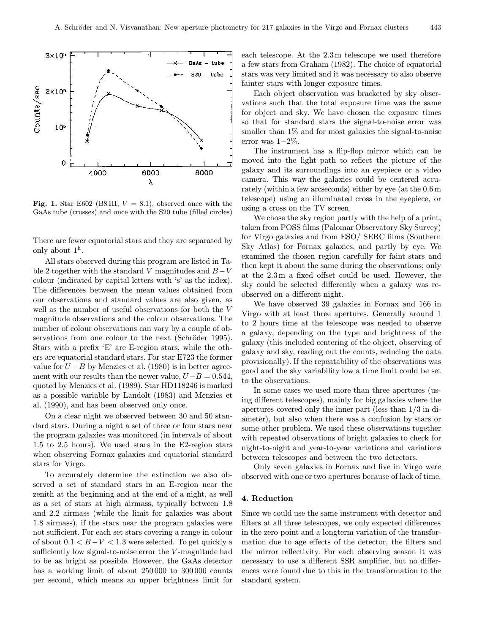

Fig. 1. Star E602 (B8III,  $V = 8.1$ ), observed once with the GaAs tube (crosses) and once with the S20 tube (filled circles)

There are fewer equatorial stars and they are separated by only about  $1<sup>h</sup>$ .

All stars observed during this program are listed in Table 2 together with the standard V magnitudes and  $B-V$ colour (indicated by capital letters with 's' as the index). The differences between the mean values obtained from our observations and standard values are also given, as well as the number of useful observations for both the V magnitude observations and the colour observations. The number of colour observations can vary by a couple of observations from one colour to the next (Schröder 1995). Stars with a prefix 'E' are E-region stars, while the others are equatorial standard stars. For star E723 the former value for  $U - B$  by Menzies et al. (1980) is in better agreement with our results than the newer value,  $U-B = 0.544$ , quoted by Menzies et al. (1989). Star HD118246 is marked as a possible variable by Landolt (1983) and Menzies et al. (1990), and has been observed only once.

On a clear night we observed between 30 and 50 standard stars. During a night a set of three or four stars near the program galaxies was monitored (in intervals of about 1.5 to 2.5 hours). We used stars in the E2-region stars when observing Fornax galaxies and equatorial standard stars for Virgo.

To accurately determine the extinction we also observed a set of standard stars in an E-region near the zenith at the beginning and at the end of a night, as well as a set of stars at high airmass, typically between 1.8 and 2.2 airmass (while the limit for galaxies was about 1.8 airmass), if the stars near the program galaxies were not sufficient. For each set stars covering a range in colour of about  $0.1 < B-V < 1.3$  were selected. To get quickly a sufficiently low signal-to-noise error the V-magnitude had to be as bright as possible. However, the GaAs detector has a working limit of about  $250000$  to  $300000$  counts per second, which means an upper brightness limit for each telescope. At the 2.3 m telescope we used therefore a few stars from Graham (1982). The choice of equatorial stars was very limited and it was necessary to also observe fainter stars with longer exposure times.

Each object observation was bracketed by sky observations such that the total exposure time was the same for object and sky. We have chosen the exposure times so that for standard stars the signal-to-noise error was smaller than  $1\%$  and for most galaxies the signal-to-noise error was 1−2%.

The instrument has a flip-flop mirror which can be moved into the light path to reflect the picture of the galaxy and its surroundings into an eyepiece or a video camera. This way the galaxies could be centered accurately (within a few arcseconds) either by eye (at the 0.6 m telescope) using an illuminated cross in the eyepiece, or using a cross on the TV screen.

We chose the sky region partly with the help of a print, taken from POSS films (Palomar Observatory Sky Survey) for Virgo galaxies and from ESO/ SERC films (Southern Sky Atlas) for Fornax galaxies, and partly by eye. We examined the chosen region carefully for faint stars and then kept it about the same during the observations; only at the 2.3 m a fixed offset could be used. However, the sky could be selected differently when a galaxy was reobserved on a different night.

We have observed 39 galaxies in Fornax and 166 in Virgo with at least three apertures. Generally around 1 to 2 hours time at the telescope was needed to observe a galaxy, depending on the type and brightness of the galaxy (this included centering of the object, observing of galaxy and sky, reading out the counts, reducing the data provisionally). If the repeatability of the observations was good and the sky variability low a time limit could be set to the observations.

In some cases we used more than three apertures (using different telescopes), mainly for big galaxies where the apertures covered only the inner part (less than 1/3 in diameter), but also when there was a confusion by stars or some other problem. We used these observations together with repeated observations of bright galaxies to check for night-to-night and year-to-year variations and variations between telescopes and between the two detectors.

Only seven galaxies in Fornax and five in Virgo were observed with one or two apertures because of lack of time.

#### 4. Reduction

Since we could use the same instrument with detector and filters at all three telescopes, we only expected differences in the zero point and a longterm variation of the transformation due to age effects of the detector, the filters and the mirror reflectivity. For each observing season it was necessary to use a different SSR amplifier, but no differences were found due to this in the transformation to the standard system.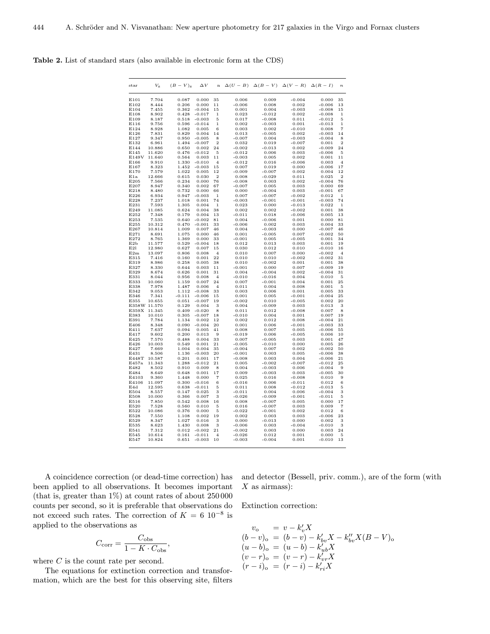| 7.704<br>0.087<br>0.000<br>35<br>0.009<br>$-0.004$<br>0.006<br>0.000<br>0.008<br>8.444<br>0.206<br>0.000<br>11<br>$-0.006$<br>0.002<br>$-0.006$<br>E104<br>7.455<br>0.362<br>$-0.004$<br>0.001<br>0.004<br>$-0.003$<br>$-0.008$<br>15<br>0.428<br>0.023<br>$-0.012$<br>0.002<br>E108<br>8.902<br>$-0.017$<br>$-0.008$<br>$\mathbf{1}$<br>E109<br>0.518<br>$-0.003$<br>0.017<br>$-0.008$<br>0.011<br>$-0.012$<br>8.187<br>5<br>E116<br>9.756<br>0.596<br>$-0.014$<br>0.002<br>$-0.003$<br>0.001<br>$-0.013$<br>$\mathbf 1$<br>0.003<br>0.002<br>$-0.010$<br>E124<br>8.928<br>1.082<br>0.005<br>6<br>0.008<br>0.829<br>0.004<br>0.013<br>$-0.005$<br>0.002<br>$-0.003$<br>7.831<br>14<br>0.950<br>0.004<br>9.347<br>$-0.005$<br>$-0.007$<br>$-0.003$<br>$-0.004$<br>8<br>E132<br>1.494<br>$-0.007$<br>$\overline{2}$<br>$_{0.032}$<br>0.019<br>$-0.007$<br>0.001<br>6.961<br>$-0.013$<br>E144<br>10.886<br>0.650<br>0.002<br>24<br>$-0.002$<br>0.002<br>$-0.009$<br>0.476<br>$-0.012$<br>0.006<br>0.003<br>$-0.006$<br>E145<br>11.620<br>$-0.012$<br>5<br>E149V<br>11.640<br>0.564<br>0.003<br>11<br>$-0.003$<br>0.005<br>0.002<br>0.001<br>E166<br>9.910<br>1.330<br>$-0.010$<br>$-0.012$<br>0.016<br>$-0.006$<br>0.003<br>$\overline{4}$<br>1.452<br>E167<br>8.323<br>$-0.003$<br>15<br>0.007<br>0.019<br>0.000<br>$-0.006$<br>7.579<br>1.022<br>12<br>$-0.009$<br>$-0.007$<br>0.002<br>0.004<br>0.005<br>0.615<br>$\overline{\mathbf{2}}$<br>12.666<br>0.030<br>0.008<br>$-0.029$<br>0.011<br>0.025<br>7.566<br>0.234<br>0.000<br>76<br>$-0.008$<br>0.003<br>0.002<br>$-0.004$<br>E207<br>8.947<br>0.340<br>0.002<br>$-0.007$<br>0.005<br>0.003<br>67<br>0.000<br>0.732<br>0.000<br>0.000<br>$-0.004$<br>E218<br>8.480<br>66<br>0.003<br>$-0.001$<br>E226<br>6.934<br>0.947<br>$-0.003$<br>$\mathbf{1}$<br>0.007<br>$-0.007$<br>$-0.002$<br>0.012<br>E228<br>7.237<br>1.018<br>0.001<br>74<br>$-0.003$<br>$-0.001$<br>$-0.001$<br>$-0.003$<br>7.593<br>1.305<br>0.004<br>0.023<br>0.000<br>E231<br>$\mathbf{1}$<br>$-0.013$<br>0.022<br>0.624<br>0.002<br>E249<br>11.085<br>0.004<br>38<br>0.002<br>$-0.002$<br>0.001<br>0.179<br>7.348<br>0.004<br>$-0.011$<br>0.018<br>$-0.006$<br>0.005<br>E252<br>13<br>7.535<br>0.640<br>0.004<br>$-0.006$<br>$-0.002$<br>81<br>0.001<br>0.000<br>10.312<br>0.470<br>$-0.001$<br>$-0.006$<br>0.002<br>0.003<br>0.004<br>33<br>1.009<br>0.000<br>10.814<br>0.007<br>46<br>0.004<br>$-0.003$<br>$-0.007$<br>1.075<br>0.000<br>0.001<br>$-0.005$<br>0.007<br>$-0.002$<br>8.691<br>46<br>E272<br>8.765<br>1.369<br>0.000<br>33<br>$-0.001$<br>0.005<br>$-0.005$<br>0.001<br>E2b<br>11.577<br>0.529<br>$-0.004$<br>18<br>0.012<br>0.013<br>0.003<br>0.001<br>$\to$ 21<br>0.627<br>0.012<br>12.980<br>0.007<br>15<br>0.030<br>0.010<br>$-0.010$<br>E2m<br>13.097<br>0.806<br>0.008<br>0.007<br>0.000<br>$-0.002$<br>$\overline{4}$<br>0.010<br>E315<br>22<br>7.416<br>0.160<br>0.001<br>0.010<br>0.010<br>$-0.002$<br>$-0.002$<br>0.258<br>0.005<br>0.010<br>$-0.002$<br>0.001<br>0.001<br>8.986<br>38<br>0.644<br>$-0.001$<br>0.000<br>0.007<br>8.330<br>0.003<br>11<br>$-0.009$<br>E329<br>8.674<br>0.626<br>0.001<br>31<br>0.004<br>$-0.004$<br>0.002<br>$-0.004$<br>0.956<br>0.008<br>$-0.010$<br>$-0.016$<br>0.004<br>E331<br>8.044<br>$\overline{4}$<br>0.010<br>E333<br>10.060<br>1.159<br>0.007<br>24<br>0.007<br>$-0.001$<br>0.004<br>0.001<br>0.004<br>E338<br>7.978<br>1.487<br>0.006<br>0.011<br>0.008<br>0.001<br>$\overline{4}$<br>1.112<br>0.003<br>0.006<br>0.001<br>E342<br>$-0.008$<br>33<br>0.005<br>9.053<br>0.005<br>E346<br>$-0.111$<br>0.001<br>$-0.001$<br>7.341<br>$-0.006$<br>15<br>$-0.004$<br>0.051<br>$-0.007$<br>$-0.002$<br>0.010<br>$-0.005$<br>0.002<br>10.655<br>19<br>E358W 11.570<br>0.129<br>0.004<br>0.004<br>$-0.009$<br>0.003<br>0.013<br>3<br>0.409<br>0.012<br>$-0.008$<br>0.007<br>E359X 11.345<br>$-0.020$<br>8<br>0.011<br>E383<br>10.010<br>0.305<br>$-0.007$<br>18<br>$-0.010$<br>0.004<br>0.001<br>0.007<br>E391<br>7.784<br>1.134<br>0.002<br>12<br>0.002<br>0.012<br>0.008<br>$-0.004$<br>0.090<br>E406<br>8.348<br>$-0.004$<br>20<br>0.001<br>0.006<br>$-0.001$<br>$-0.003$<br>0.094<br>E411<br>7.637<br>0.005<br>41<br>0.008<br>0.007<br>0.005<br>$-0.006$<br>E417<br>9.602<br>0.200<br>0.013<br>$-0.019$<br>0.006<br>$-0.005$<br>0.006<br>9<br>0.488<br>E425<br>7.570<br>0.004<br>33<br>0.007<br>$-0.005$<br>0.003<br>0.001<br>E426<br>10.003<br>0.549<br>0.001<br>21<br>$-0.005$<br>$-0.010$<br>0.000<br>0.005<br>1.004<br>0.007<br>0.002<br>7.669<br>0.004<br>35<br>$-0.004$<br>$-0.002$<br>8.506<br>1.136<br>$-0.003$<br>20<br>$-0.001$<br>0.003<br>0.005<br>$-0.006$<br>0.201<br>$-0.008$<br>0.003<br>10.587<br>0.001<br>17<br>0.004<br>$-0.006$<br>11.343<br>1.288<br>$-0.012$<br>0.005<br>$-0.002$<br>$-0.007$<br>E457a<br>21<br>$-0.012$<br>E482<br>8.502<br>0.910<br>0.009<br>8<br>0.004<br>$-0.003$<br>0.006<br>$-0.004$<br>E484<br>8.649<br>0.648<br>0.001<br>17<br>0.009<br>$-0.003$<br>0.003<br>$-0.005$<br>E4103<br>9.360<br>1.448<br>0.000<br>0.025<br>7<br>0.016<br>$-0.008$<br>0.010<br>E4106<br>11.097<br>0.300<br>$-0.016$<br>6<br>$-0.016$<br>0.006<br>$-0.011$<br>0.012<br>12.595<br>0.638<br>0.011<br>$-0.013$<br>E4d<br>$-0.011$<br>5<br>0.008<br>$-0.012$<br>8.557<br>0.147<br>$-0.011$<br>0.004<br>0.006<br>0.025<br>3<br>$-0.004$<br>0.366<br>$-0.026$<br>$-0.001$<br>10.000<br>0.007<br>3<br>$-0.009$<br>$-0.011$<br>7.850<br>0.542<br>0.008<br>16<br>0.008<br>$-0.007$<br>0.005<br>0.000<br>7.528<br>0.560<br>0.010<br>5<br>0.016<br>$-0.007$<br>0.003<br>0.009<br>0.376<br>0.002<br>10.086<br>0.000<br>5<br>$-0.022$<br>$-0.001$<br>0.012<br>E528<br>1.108<br>0.002<br>0.003<br>0.003<br>$-0.006$<br>7.550<br>0.002<br>19<br>E529<br>8.347<br>1.027<br>0.016<br>3<br>0.000<br>$-0.013$<br>0.000<br>0.002<br>E535<br>8.623<br>1.430<br>0.008<br>$-0.006$<br>0.003<br>$-0.004$<br>$-0.010$<br>3<br>E541<br>7.312<br>0.012<br>$-0.002$<br>$-0.002$<br>0.003<br>0.000<br>0.003<br>21<br>$-0.026$<br>0.012<br>0.001<br>E545<br>10.614<br>0.161<br>$-0.011$<br>0.000<br>$\overline{4}$ | $_{\rm star}$ | $V_{\rm s}$ | $(B-V)_{\rm s}$ | $\Delta V$ |    | n $\Delta(U-B)$ $\Delta(B-V)$ $\Delta(V-R)$ $\Delta(R-I)$ |          |       |          | $\boldsymbol{n}$   |
|---------------------------------------------------------------------------------------------------------------------------------------------------------------------------------------------------------------------------------------------------------------------------------------------------------------------------------------------------------------------------------------------------------------------------------------------------------------------------------------------------------------------------------------------------------------------------------------------------------------------------------------------------------------------------------------------------------------------------------------------------------------------------------------------------------------------------------------------------------------------------------------------------------------------------------------------------------------------------------------------------------------------------------------------------------------------------------------------------------------------------------------------------------------------------------------------------------------------------------------------------------------------------------------------------------------------------------------------------------------------------------------------------------------------------------------------------------------------------------------------------------------------------------------------------------------------------------------------------------------------------------------------------------------------------------------------------------------------------------------------------------------------------------------------------------------------------------------------------------------------------------------------------------------------------------------------------------------------------------------------------------------------------------------------------------------------------------------------------------------------------------------------------------------------------------------------------------------------------------------------------------------------------------------------------------------------------------------------------------------------------------------------------------------------------------------------------------------------------------------------------------------------------------------------------------------------------------------------------------------------------------------------------------------------------------------------------------------------------------------------------------------------------------------------------------------------------------------------------------------------------------------------------------------------------------------------------------------------------------------------------------------------------------------------------------------------------------------------------------------------------------------------------------------------------------------------------------------------------------------------------------------------------------------------------------------------------------------------------------------------------------------------------------------------------------------------------------------------------------------------------------------------------------------------------------------------------------------------------------------------------------------------------------------------------------------------------------------------------------------------------------------------------------------------------------------------------------------------------------------------------------------------------------------------------------------------------------------------------------------------------------------------------------------------------------------------------------------------------------------------------------------------------------------------------------------------------------------------------------------------------------------------------------------------------------------------------------------------------------------------------------------------------------------------------------------------------------------------------------------------------------------------------------------------------------------------------------------------------------------------------------------------------------------------------------------------------------------------------------------------------------------------------------------------------------------------------------------------------------------------------------------------------------------------------------------------------------------------------------------------------------------------------------------------------------------------------------------------------------------------------------------------------------------------------------------------------------------------------------------------------------------------------------------------------------------------------------------------------------------------------------------------------------------------------------------------------------------------------------------------------------------------------------------------------------------------------------------------------------------------------------------------------------------------------------------------------------------------------------------------------------------------------------------------------------------------------------------------------------------------------------------------------------------------------------------------------------------------------------------------------------------------------------------------------------------------------------------------------|---------------|-------------|-----------------|------------|----|-----------------------------------------------------------|----------|-------|----------|--------------------|
|                                                                                                                                                                                                                                                                                                                                                                                                                                                                                                                                                                                                                                                                                                                                                                                                                                                                                                                                                                                                                                                                                                                                                                                                                                                                                                                                                                                                                                                                                                                                                                                                                                                                                                                                                                                                                                                                                                                                                                                                                                                                                                                                                                                                                                                                                                                                                                                                                                                                                                                                                                                                                                                                                                                                                                                                                                                                                                                                                                                                                                                                                                                                                                                                                                                                                                                                                                                                                                                                                                                                                                                                                                                                                                                                                                                                                                                                                                                                                                                                                                                                                                                                                                                                                                                                                                                                                                                                                                                                                                                                                                                                                                                                                                                                                                                                                                                                                                                                                                                                                                                                                                                                                                                                                                                                                                                                                                                                                                                                                                                                                                                                                                                                                                                                                                                                                                                                                                                                                                                                                                                                                                   | E101          |             |                 |            |    |                                                           |          |       |          | 35                 |
|                                                                                                                                                                                                                                                                                                                                                                                                                                                                                                                                                                                                                                                                                                                                                                                                                                                                                                                                                                                                                                                                                                                                                                                                                                                                                                                                                                                                                                                                                                                                                                                                                                                                                                                                                                                                                                                                                                                                                                                                                                                                                                                                                                                                                                                                                                                                                                                                                                                                                                                                                                                                                                                                                                                                                                                                                                                                                                                                                                                                                                                                                                                                                                                                                                                                                                                                                                                                                                                                                                                                                                                                                                                                                                                                                                                                                                                                                                                                                                                                                                                                                                                                                                                                                                                                                                                                                                                                                                                                                                                                                                                                                                                                                                                                                                                                                                                                                                                                                                                                                                                                                                                                                                                                                                                                                                                                                                                                                                                                                                                                                                                                                                                                                                                                                                                                                                                                                                                                                                                                                                                                                                   | E102          |             |                 |            |    |                                                           |          |       |          | 13                 |
|                                                                                                                                                                                                                                                                                                                                                                                                                                                                                                                                                                                                                                                                                                                                                                                                                                                                                                                                                                                                                                                                                                                                                                                                                                                                                                                                                                                                                                                                                                                                                                                                                                                                                                                                                                                                                                                                                                                                                                                                                                                                                                                                                                                                                                                                                                                                                                                                                                                                                                                                                                                                                                                                                                                                                                                                                                                                                                                                                                                                                                                                                                                                                                                                                                                                                                                                                                                                                                                                                                                                                                                                                                                                                                                                                                                                                                                                                                                                                                                                                                                                                                                                                                                                                                                                                                                                                                                                                                                                                                                                                                                                                                                                                                                                                                                                                                                                                                                                                                                                                                                                                                                                                                                                                                                                                                                                                                                                                                                                                                                                                                                                                                                                                                                                                                                                                                                                                                                                                                                                                                                                                                   |               |             |                 |            |    |                                                           |          |       |          | 15                 |
|                                                                                                                                                                                                                                                                                                                                                                                                                                                                                                                                                                                                                                                                                                                                                                                                                                                                                                                                                                                                                                                                                                                                                                                                                                                                                                                                                                                                                                                                                                                                                                                                                                                                                                                                                                                                                                                                                                                                                                                                                                                                                                                                                                                                                                                                                                                                                                                                                                                                                                                                                                                                                                                                                                                                                                                                                                                                                                                                                                                                                                                                                                                                                                                                                                                                                                                                                                                                                                                                                                                                                                                                                                                                                                                                                                                                                                                                                                                                                                                                                                                                                                                                                                                                                                                                                                                                                                                                                                                                                                                                                                                                                                                                                                                                                                                                                                                                                                                                                                                                                                                                                                                                                                                                                                                                                                                                                                                                                                                                                                                                                                                                                                                                                                                                                                                                                                                                                                                                                                                                                                                                                                   |               |             |                 |            |    |                                                           |          |       |          | $\mathbf 1$<br>5   |
|                                                                                                                                                                                                                                                                                                                                                                                                                                                                                                                                                                                                                                                                                                                                                                                                                                                                                                                                                                                                                                                                                                                                                                                                                                                                                                                                                                                                                                                                                                                                                                                                                                                                                                                                                                                                                                                                                                                                                                                                                                                                                                                                                                                                                                                                                                                                                                                                                                                                                                                                                                                                                                                                                                                                                                                                                                                                                                                                                                                                                                                                                                                                                                                                                                                                                                                                                                                                                                                                                                                                                                                                                                                                                                                                                                                                                                                                                                                                                                                                                                                                                                                                                                                                                                                                                                                                                                                                                                                                                                                                                                                                                                                                                                                                                                                                                                                                                                                                                                                                                                                                                                                                                                                                                                                                                                                                                                                                                                                                                                                                                                                                                                                                                                                                                                                                                                                                                                                                                                                                                                                                                                   |               |             |                 |            |    |                                                           |          |       |          | $\mathbf{1}$       |
|                                                                                                                                                                                                                                                                                                                                                                                                                                                                                                                                                                                                                                                                                                                                                                                                                                                                                                                                                                                                                                                                                                                                                                                                                                                                                                                                                                                                                                                                                                                                                                                                                                                                                                                                                                                                                                                                                                                                                                                                                                                                                                                                                                                                                                                                                                                                                                                                                                                                                                                                                                                                                                                                                                                                                                                                                                                                                                                                                                                                                                                                                                                                                                                                                                                                                                                                                                                                                                                                                                                                                                                                                                                                                                                                                                                                                                                                                                                                                                                                                                                                                                                                                                                                                                                                                                                                                                                                                                                                                                                                                                                                                                                                                                                                                                                                                                                                                                                                                                                                                                                                                                                                                                                                                                                                                                                                                                                                                                                                                                                                                                                                                                                                                                                                                                                                                                                                                                                                                                                                                                                                                                   |               |             |                 |            |    |                                                           |          |       |          | 7                  |
|                                                                                                                                                                                                                                                                                                                                                                                                                                                                                                                                                                                                                                                                                                                                                                                                                                                                                                                                                                                                                                                                                                                                                                                                                                                                                                                                                                                                                                                                                                                                                                                                                                                                                                                                                                                                                                                                                                                                                                                                                                                                                                                                                                                                                                                                                                                                                                                                                                                                                                                                                                                                                                                                                                                                                                                                                                                                                                                                                                                                                                                                                                                                                                                                                                                                                                                                                                                                                                                                                                                                                                                                                                                                                                                                                                                                                                                                                                                                                                                                                                                                                                                                                                                                                                                                                                                                                                                                                                                                                                                                                                                                                                                                                                                                                                                                                                                                                                                                                                                                                                                                                                                                                                                                                                                                                                                                                                                                                                                                                                                                                                                                                                                                                                                                                                                                                                                                                                                                                                                                                                                                                                   | E126          |             |                 |            |    |                                                           |          |       |          | 14                 |
|                                                                                                                                                                                                                                                                                                                                                                                                                                                                                                                                                                                                                                                                                                                                                                                                                                                                                                                                                                                                                                                                                                                                                                                                                                                                                                                                                                                                                                                                                                                                                                                                                                                                                                                                                                                                                                                                                                                                                                                                                                                                                                                                                                                                                                                                                                                                                                                                                                                                                                                                                                                                                                                                                                                                                                                                                                                                                                                                                                                                                                                                                                                                                                                                                                                                                                                                                                                                                                                                                                                                                                                                                                                                                                                                                                                                                                                                                                                                                                                                                                                                                                                                                                                                                                                                                                                                                                                                                                                                                                                                                                                                                                                                                                                                                                                                                                                                                                                                                                                                                                                                                                                                                                                                                                                                                                                                                                                                                                                                                                                                                                                                                                                                                                                                                                                                                                                                                                                                                                                                                                                                                                   | E127          |             |                 |            |    |                                                           |          |       |          | 8                  |
|                                                                                                                                                                                                                                                                                                                                                                                                                                                                                                                                                                                                                                                                                                                                                                                                                                                                                                                                                                                                                                                                                                                                                                                                                                                                                                                                                                                                                                                                                                                                                                                                                                                                                                                                                                                                                                                                                                                                                                                                                                                                                                                                                                                                                                                                                                                                                                                                                                                                                                                                                                                                                                                                                                                                                                                                                                                                                                                                                                                                                                                                                                                                                                                                                                                                                                                                                                                                                                                                                                                                                                                                                                                                                                                                                                                                                                                                                                                                                                                                                                                                                                                                                                                                                                                                                                                                                                                                                                                                                                                                                                                                                                                                                                                                                                                                                                                                                                                                                                                                                                                                                                                                                                                                                                                                                                                                                                                                                                                                                                                                                                                                                                                                                                                                                                                                                                                                                                                                                                                                                                                                                                   |               |             |                 |            |    |                                                           |          |       |          | $\overline{2}$     |
|                                                                                                                                                                                                                                                                                                                                                                                                                                                                                                                                                                                                                                                                                                                                                                                                                                                                                                                                                                                                                                                                                                                                                                                                                                                                                                                                                                                                                                                                                                                                                                                                                                                                                                                                                                                                                                                                                                                                                                                                                                                                                                                                                                                                                                                                                                                                                                                                                                                                                                                                                                                                                                                                                                                                                                                                                                                                                                                                                                                                                                                                                                                                                                                                                                                                                                                                                                                                                                                                                                                                                                                                                                                                                                                                                                                                                                                                                                                                                                                                                                                                                                                                                                                                                                                                                                                                                                                                                                                                                                                                                                                                                                                                                                                                                                                                                                                                                                                                                                                                                                                                                                                                                                                                                                                                                                                                                                                                                                                                                                                                                                                                                                                                                                                                                                                                                                                                                                                                                                                                                                                                                                   |               |             |                 |            |    |                                                           |          |       |          | 24                 |
|                                                                                                                                                                                                                                                                                                                                                                                                                                                                                                                                                                                                                                                                                                                                                                                                                                                                                                                                                                                                                                                                                                                                                                                                                                                                                                                                                                                                                                                                                                                                                                                                                                                                                                                                                                                                                                                                                                                                                                                                                                                                                                                                                                                                                                                                                                                                                                                                                                                                                                                                                                                                                                                                                                                                                                                                                                                                                                                                                                                                                                                                                                                                                                                                                                                                                                                                                                                                                                                                                                                                                                                                                                                                                                                                                                                                                                                                                                                                                                                                                                                                                                                                                                                                                                                                                                                                                                                                                                                                                                                                                                                                                                                                                                                                                                                                                                                                                                                                                                                                                                                                                                                                                                                                                                                                                                                                                                                                                                                                                                                                                                                                                                                                                                                                                                                                                                                                                                                                                                                                                                                                                                   |               |             |                 |            |    |                                                           |          |       |          | 5<br>11            |
|                                                                                                                                                                                                                                                                                                                                                                                                                                                                                                                                                                                                                                                                                                                                                                                                                                                                                                                                                                                                                                                                                                                                                                                                                                                                                                                                                                                                                                                                                                                                                                                                                                                                                                                                                                                                                                                                                                                                                                                                                                                                                                                                                                                                                                                                                                                                                                                                                                                                                                                                                                                                                                                                                                                                                                                                                                                                                                                                                                                                                                                                                                                                                                                                                                                                                                                                                                                                                                                                                                                                                                                                                                                                                                                                                                                                                                                                                                                                                                                                                                                                                                                                                                                                                                                                                                                                                                                                                                                                                                                                                                                                                                                                                                                                                                                                                                                                                                                                                                                                                                                                                                                                                                                                                                                                                                                                                                                                                                                                                                                                                                                                                                                                                                                                                                                                                                                                                                                                                                                                                                                                                                   |               |             |                 |            |    |                                                           |          |       |          | $\overline{4}$     |
|                                                                                                                                                                                                                                                                                                                                                                                                                                                                                                                                                                                                                                                                                                                                                                                                                                                                                                                                                                                                                                                                                                                                                                                                                                                                                                                                                                                                                                                                                                                                                                                                                                                                                                                                                                                                                                                                                                                                                                                                                                                                                                                                                                                                                                                                                                                                                                                                                                                                                                                                                                                                                                                                                                                                                                                                                                                                                                                                                                                                                                                                                                                                                                                                                                                                                                                                                                                                                                                                                                                                                                                                                                                                                                                                                                                                                                                                                                                                                                                                                                                                                                                                                                                                                                                                                                                                                                                                                                                                                                                                                                                                                                                                                                                                                                                                                                                                                                                                                                                                                                                                                                                                                                                                                                                                                                                                                                                                                                                                                                                                                                                                                                                                                                                                                                                                                                                                                                                                                                                                                                                                                                   |               |             |                 |            |    |                                                           |          |       |          | 17                 |
|                                                                                                                                                                                                                                                                                                                                                                                                                                                                                                                                                                                                                                                                                                                                                                                                                                                                                                                                                                                                                                                                                                                                                                                                                                                                                                                                                                                                                                                                                                                                                                                                                                                                                                                                                                                                                                                                                                                                                                                                                                                                                                                                                                                                                                                                                                                                                                                                                                                                                                                                                                                                                                                                                                                                                                                                                                                                                                                                                                                                                                                                                                                                                                                                                                                                                                                                                                                                                                                                                                                                                                                                                                                                                                                                                                                                                                                                                                                                                                                                                                                                                                                                                                                                                                                                                                                                                                                                                                                                                                                                                                                                                                                                                                                                                                                                                                                                                                                                                                                                                                                                                                                                                                                                                                                                                                                                                                                                                                                                                                                                                                                                                                                                                                                                                                                                                                                                                                                                                                                                                                                                                                   | E170          |             |                 |            |    |                                                           |          |       |          | 12                 |
|                                                                                                                                                                                                                                                                                                                                                                                                                                                                                                                                                                                                                                                                                                                                                                                                                                                                                                                                                                                                                                                                                                                                                                                                                                                                                                                                                                                                                                                                                                                                                                                                                                                                                                                                                                                                                                                                                                                                                                                                                                                                                                                                                                                                                                                                                                                                                                                                                                                                                                                                                                                                                                                                                                                                                                                                                                                                                                                                                                                                                                                                                                                                                                                                                                                                                                                                                                                                                                                                                                                                                                                                                                                                                                                                                                                                                                                                                                                                                                                                                                                                                                                                                                                                                                                                                                                                                                                                                                                                                                                                                                                                                                                                                                                                                                                                                                                                                                                                                                                                                                                                                                                                                                                                                                                                                                                                                                                                                                                                                                                                                                                                                                                                                                                                                                                                                                                                                                                                                                                                                                                                                                   | E1a           |             |                 |            |    |                                                           |          |       |          | $\overline{2}$     |
|                                                                                                                                                                                                                                                                                                                                                                                                                                                                                                                                                                                                                                                                                                                                                                                                                                                                                                                                                                                                                                                                                                                                                                                                                                                                                                                                                                                                                                                                                                                                                                                                                                                                                                                                                                                                                                                                                                                                                                                                                                                                                                                                                                                                                                                                                                                                                                                                                                                                                                                                                                                                                                                                                                                                                                                                                                                                                                                                                                                                                                                                                                                                                                                                                                                                                                                                                                                                                                                                                                                                                                                                                                                                                                                                                                                                                                                                                                                                                                                                                                                                                                                                                                                                                                                                                                                                                                                                                                                                                                                                                                                                                                                                                                                                                                                                                                                                                                                                                                                                                                                                                                                                                                                                                                                                                                                                                                                                                                                                                                                                                                                                                                                                                                                                                                                                                                                                                                                                                                                                                                                                                                   | E205          |             |                 |            |    |                                                           |          |       |          | 76                 |
|                                                                                                                                                                                                                                                                                                                                                                                                                                                                                                                                                                                                                                                                                                                                                                                                                                                                                                                                                                                                                                                                                                                                                                                                                                                                                                                                                                                                                                                                                                                                                                                                                                                                                                                                                                                                                                                                                                                                                                                                                                                                                                                                                                                                                                                                                                                                                                                                                                                                                                                                                                                                                                                                                                                                                                                                                                                                                                                                                                                                                                                                                                                                                                                                                                                                                                                                                                                                                                                                                                                                                                                                                                                                                                                                                                                                                                                                                                                                                                                                                                                                                                                                                                                                                                                                                                                                                                                                                                                                                                                                                                                                                                                                                                                                                                                                                                                                                                                                                                                                                                                                                                                                                                                                                                                                                                                                                                                                                                                                                                                                                                                                                                                                                                                                                                                                                                                                                                                                                                                                                                                                                                   |               |             |                 |            |    |                                                           |          |       |          | 69                 |
|                                                                                                                                                                                                                                                                                                                                                                                                                                                                                                                                                                                                                                                                                                                                                                                                                                                                                                                                                                                                                                                                                                                                                                                                                                                                                                                                                                                                                                                                                                                                                                                                                                                                                                                                                                                                                                                                                                                                                                                                                                                                                                                                                                                                                                                                                                                                                                                                                                                                                                                                                                                                                                                                                                                                                                                                                                                                                                                                                                                                                                                                                                                                                                                                                                                                                                                                                                                                                                                                                                                                                                                                                                                                                                                                                                                                                                                                                                                                                                                                                                                                                                                                                                                                                                                                                                                                                                                                                                                                                                                                                                                                                                                                                                                                                                                                                                                                                                                                                                                                                                                                                                                                                                                                                                                                                                                                                                                                                                                                                                                                                                                                                                                                                                                                                                                                                                                                                                                                                                                                                                                                                                   |               |             |                 |            |    |                                                           |          |       |          | 67                 |
|                                                                                                                                                                                                                                                                                                                                                                                                                                                                                                                                                                                                                                                                                                                                                                                                                                                                                                                                                                                                                                                                                                                                                                                                                                                                                                                                                                                                                                                                                                                                                                                                                                                                                                                                                                                                                                                                                                                                                                                                                                                                                                                                                                                                                                                                                                                                                                                                                                                                                                                                                                                                                                                                                                                                                                                                                                                                                                                                                                                                                                                                                                                                                                                                                                                                                                                                                                                                                                                                                                                                                                                                                                                                                                                                                                                                                                                                                                                                                                                                                                                                                                                                                                                                                                                                                                                                                                                                                                                                                                                                                                                                                                                                                                                                                                                                                                                                                                                                                                                                                                                                                                                                                                                                                                                                                                                                                                                                                                                                                                                                                                                                                                                                                                                                                                                                                                                                                                                                                                                                                                                                                                   |               |             |                 |            |    |                                                           |          |       |          | $\mathbf{1}$       |
|                                                                                                                                                                                                                                                                                                                                                                                                                                                                                                                                                                                                                                                                                                                                                                                                                                                                                                                                                                                                                                                                                                                                                                                                                                                                                                                                                                                                                                                                                                                                                                                                                                                                                                                                                                                                                                                                                                                                                                                                                                                                                                                                                                                                                                                                                                                                                                                                                                                                                                                                                                                                                                                                                                                                                                                                                                                                                                                                                                                                                                                                                                                                                                                                                                                                                                                                                                                                                                                                                                                                                                                                                                                                                                                                                                                                                                                                                                                                                                                                                                                                                                                                                                                                                                                                                                                                                                                                                                                                                                                                                                                                                                                                                                                                                                                                                                                                                                                                                                                                                                                                                                                                                                                                                                                                                                                                                                                                                                                                                                                                                                                                                                                                                                                                                                                                                                                                                                                                                                                                                                                                                                   |               |             |                 |            |    |                                                           |          |       |          | 74<br>$\mathbf{1}$ |
|                                                                                                                                                                                                                                                                                                                                                                                                                                                                                                                                                                                                                                                                                                                                                                                                                                                                                                                                                                                                                                                                                                                                                                                                                                                                                                                                                                                                                                                                                                                                                                                                                                                                                                                                                                                                                                                                                                                                                                                                                                                                                                                                                                                                                                                                                                                                                                                                                                                                                                                                                                                                                                                                                                                                                                                                                                                                                                                                                                                                                                                                                                                                                                                                                                                                                                                                                                                                                                                                                                                                                                                                                                                                                                                                                                                                                                                                                                                                                                                                                                                                                                                                                                                                                                                                                                                                                                                                                                                                                                                                                                                                                                                                                                                                                                                                                                                                                                                                                                                                                                                                                                                                                                                                                                                                                                                                                                                                                                                                                                                                                                                                                                                                                                                                                                                                                                                                                                                                                                                                                                                                                                   |               |             |                 |            |    |                                                           |          |       |          | 38                 |
|                                                                                                                                                                                                                                                                                                                                                                                                                                                                                                                                                                                                                                                                                                                                                                                                                                                                                                                                                                                                                                                                                                                                                                                                                                                                                                                                                                                                                                                                                                                                                                                                                                                                                                                                                                                                                                                                                                                                                                                                                                                                                                                                                                                                                                                                                                                                                                                                                                                                                                                                                                                                                                                                                                                                                                                                                                                                                                                                                                                                                                                                                                                                                                                                                                                                                                                                                                                                                                                                                                                                                                                                                                                                                                                                                                                                                                                                                                                                                                                                                                                                                                                                                                                                                                                                                                                                                                                                                                                                                                                                                                                                                                                                                                                                                                                                                                                                                                                                                                                                                                                                                                                                                                                                                                                                                                                                                                                                                                                                                                                                                                                                                                                                                                                                                                                                                                                                                                                                                                                                                                                                                                   |               |             |                 |            |    |                                                           |          |       |          | 13                 |
|                                                                                                                                                                                                                                                                                                                                                                                                                                                                                                                                                                                                                                                                                                                                                                                                                                                                                                                                                                                                                                                                                                                                                                                                                                                                                                                                                                                                                                                                                                                                                                                                                                                                                                                                                                                                                                                                                                                                                                                                                                                                                                                                                                                                                                                                                                                                                                                                                                                                                                                                                                                                                                                                                                                                                                                                                                                                                                                                                                                                                                                                                                                                                                                                                                                                                                                                                                                                                                                                                                                                                                                                                                                                                                                                                                                                                                                                                                                                                                                                                                                                                                                                                                                                                                                                                                                                                                                                                                                                                                                                                                                                                                                                                                                                                                                                                                                                                                                                                                                                                                                                                                                                                                                                                                                                                                                                                                                                                                                                                                                                                                                                                                                                                                                                                                                                                                                                                                                                                                                                                                                                                                   | E253          |             |                 |            |    |                                                           |          |       |          | 81                 |
|                                                                                                                                                                                                                                                                                                                                                                                                                                                                                                                                                                                                                                                                                                                                                                                                                                                                                                                                                                                                                                                                                                                                                                                                                                                                                                                                                                                                                                                                                                                                                                                                                                                                                                                                                                                                                                                                                                                                                                                                                                                                                                                                                                                                                                                                                                                                                                                                                                                                                                                                                                                                                                                                                                                                                                                                                                                                                                                                                                                                                                                                                                                                                                                                                                                                                                                                                                                                                                                                                                                                                                                                                                                                                                                                                                                                                                                                                                                                                                                                                                                                                                                                                                                                                                                                                                                                                                                                                                                                                                                                                                                                                                                                                                                                                                                                                                                                                                                                                                                                                                                                                                                                                                                                                                                                                                                                                                                                                                                                                                                                                                                                                                                                                                                                                                                                                                                                                                                                                                                                                                                                                                   | E255          |             |                 |            |    |                                                           |          |       |          | 33                 |
|                                                                                                                                                                                                                                                                                                                                                                                                                                                                                                                                                                                                                                                                                                                                                                                                                                                                                                                                                                                                                                                                                                                                                                                                                                                                                                                                                                                                                                                                                                                                                                                                                                                                                                                                                                                                                                                                                                                                                                                                                                                                                                                                                                                                                                                                                                                                                                                                                                                                                                                                                                                                                                                                                                                                                                                                                                                                                                                                                                                                                                                                                                                                                                                                                                                                                                                                                                                                                                                                                                                                                                                                                                                                                                                                                                                                                                                                                                                                                                                                                                                                                                                                                                                                                                                                                                                                                                                                                                                                                                                                                                                                                                                                                                                                                                                                                                                                                                                                                                                                                                                                                                                                                                                                                                                                                                                                                                                                                                                                                                                                                                                                                                                                                                                                                                                                                                                                                                                                                                                                                                                                                                   | E267          |             |                 |            |    |                                                           |          |       |          | 46                 |
|                                                                                                                                                                                                                                                                                                                                                                                                                                                                                                                                                                                                                                                                                                                                                                                                                                                                                                                                                                                                                                                                                                                                                                                                                                                                                                                                                                                                                                                                                                                                                                                                                                                                                                                                                                                                                                                                                                                                                                                                                                                                                                                                                                                                                                                                                                                                                                                                                                                                                                                                                                                                                                                                                                                                                                                                                                                                                                                                                                                                                                                                                                                                                                                                                                                                                                                                                                                                                                                                                                                                                                                                                                                                                                                                                                                                                                                                                                                                                                                                                                                                                                                                                                                                                                                                                                                                                                                                                                                                                                                                                                                                                                                                                                                                                                                                                                                                                                                                                                                                                                                                                                                                                                                                                                                                                                                                                                                                                                                                                                                                                                                                                                                                                                                                                                                                                                                                                                                                                                                                                                                                                                   | E271          |             |                 |            |    |                                                           |          |       |          | 50                 |
|                                                                                                                                                                                                                                                                                                                                                                                                                                                                                                                                                                                                                                                                                                                                                                                                                                                                                                                                                                                                                                                                                                                                                                                                                                                                                                                                                                                                                                                                                                                                                                                                                                                                                                                                                                                                                                                                                                                                                                                                                                                                                                                                                                                                                                                                                                                                                                                                                                                                                                                                                                                                                                                                                                                                                                                                                                                                                                                                                                                                                                                                                                                                                                                                                                                                                                                                                                                                                                                                                                                                                                                                                                                                                                                                                                                                                                                                                                                                                                                                                                                                                                                                                                                                                                                                                                                                                                                                                                                                                                                                                                                                                                                                                                                                                                                                                                                                                                                                                                                                                                                                                                                                                                                                                                                                                                                                                                                                                                                                                                                                                                                                                                                                                                                                                                                                                                                                                                                                                                                                                                                                                                   |               |             |                 |            |    |                                                           |          |       |          | 34                 |
|                                                                                                                                                                                                                                                                                                                                                                                                                                                                                                                                                                                                                                                                                                                                                                                                                                                                                                                                                                                                                                                                                                                                                                                                                                                                                                                                                                                                                                                                                                                                                                                                                                                                                                                                                                                                                                                                                                                                                                                                                                                                                                                                                                                                                                                                                                                                                                                                                                                                                                                                                                                                                                                                                                                                                                                                                                                                                                                                                                                                                                                                                                                                                                                                                                                                                                                                                                                                                                                                                                                                                                                                                                                                                                                                                                                                                                                                                                                                                                                                                                                                                                                                                                                                                                                                                                                                                                                                                                                                                                                                                                                                                                                                                                                                                                                                                                                                                                                                                                                                                                                                                                                                                                                                                                                                                                                                                                                                                                                                                                                                                                                                                                                                                                                                                                                                                                                                                                                                                                                                                                                                                                   |               |             |                 |            |    |                                                           |          |       |          | 19<br>16           |
|                                                                                                                                                                                                                                                                                                                                                                                                                                                                                                                                                                                                                                                                                                                                                                                                                                                                                                                                                                                                                                                                                                                                                                                                                                                                                                                                                                                                                                                                                                                                                                                                                                                                                                                                                                                                                                                                                                                                                                                                                                                                                                                                                                                                                                                                                                                                                                                                                                                                                                                                                                                                                                                                                                                                                                                                                                                                                                                                                                                                                                                                                                                                                                                                                                                                                                                                                                                                                                                                                                                                                                                                                                                                                                                                                                                                                                                                                                                                                                                                                                                                                                                                                                                                                                                                                                                                                                                                                                                                                                                                                                                                                                                                                                                                                                                                                                                                                                                                                                                                                                                                                                                                                                                                                                                                                                                                                                                                                                                                                                                                                                                                                                                                                                                                                                                                                                                                                                                                                                                                                                                                                                   |               |             |                 |            |    |                                                           |          |       |          | $\overline{4}$     |
|                                                                                                                                                                                                                                                                                                                                                                                                                                                                                                                                                                                                                                                                                                                                                                                                                                                                                                                                                                                                                                                                                                                                                                                                                                                                                                                                                                                                                                                                                                                                                                                                                                                                                                                                                                                                                                                                                                                                                                                                                                                                                                                                                                                                                                                                                                                                                                                                                                                                                                                                                                                                                                                                                                                                                                                                                                                                                                                                                                                                                                                                                                                                                                                                                                                                                                                                                                                                                                                                                                                                                                                                                                                                                                                                                                                                                                                                                                                                                                                                                                                                                                                                                                                                                                                                                                                                                                                                                                                                                                                                                                                                                                                                                                                                                                                                                                                                                                                                                                                                                                                                                                                                                                                                                                                                                                                                                                                                                                                                                                                                                                                                                                                                                                                                                                                                                                                                                                                                                                                                                                                                                                   |               |             |                 |            |    |                                                           |          |       |          | 31                 |
|                                                                                                                                                                                                                                                                                                                                                                                                                                                                                                                                                                                                                                                                                                                                                                                                                                                                                                                                                                                                                                                                                                                                                                                                                                                                                                                                                                                                                                                                                                                                                                                                                                                                                                                                                                                                                                                                                                                                                                                                                                                                                                                                                                                                                                                                                                                                                                                                                                                                                                                                                                                                                                                                                                                                                                                                                                                                                                                                                                                                                                                                                                                                                                                                                                                                                                                                                                                                                                                                                                                                                                                                                                                                                                                                                                                                                                                                                                                                                                                                                                                                                                                                                                                                                                                                                                                                                                                                                                                                                                                                                                                                                                                                                                                                                                                                                                                                                                                                                                                                                                                                                                                                                                                                                                                                                                                                                                                                                                                                                                                                                                                                                                                                                                                                                                                                                                                                                                                                                                                                                                                                                                   | E319          |             |                 |            |    |                                                           |          |       |          | 38                 |
|                                                                                                                                                                                                                                                                                                                                                                                                                                                                                                                                                                                                                                                                                                                                                                                                                                                                                                                                                                                                                                                                                                                                                                                                                                                                                                                                                                                                                                                                                                                                                                                                                                                                                                                                                                                                                                                                                                                                                                                                                                                                                                                                                                                                                                                                                                                                                                                                                                                                                                                                                                                                                                                                                                                                                                                                                                                                                                                                                                                                                                                                                                                                                                                                                                                                                                                                                                                                                                                                                                                                                                                                                                                                                                                                                                                                                                                                                                                                                                                                                                                                                                                                                                                                                                                                                                                                                                                                                                                                                                                                                                                                                                                                                                                                                                                                                                                                                                                                                                                                                                                                                                                                                                                                                                                                                                                                                                                                                                                                                                                                                                                                                                                                                                                                                                                                                                                                                                                                                                                                                                                                                                   | E327          |             |                 |            |    |                                                           |          |       |          | 19                 |
|                                                                                                                                                                                                                                                                                                                                                                                                                                                                                                                                                                                                                                                                                                                                                                                                                                                                                                                                                                                                                                                                                                                                                                                                                                                                                                                                                                                                                                                                                                                                                                                                                                                                                                                                                                                                                                                                                                                                                                                                                                                                                                                                                                                                                                                                                                                                                                                                                                                                                                                                                                                                                                                                                                                                                                                                                                                                                                                                                                                                                                                                                                                                                                                                                                                                                                                                                                                                                                                                                                                                                                                                                                                                                                                                                                                                                                                                                                                                                                                                                                                                                                                                                                                                                                                                                                                                                                                                                                                                                                                                                                                                                                                                                                                                                                                                                                                                                                                                                                                                                                                                                                                                                                                                                                                                                                                                                                                                                                                                                                                                                                                                                                                                                                                                                                                                                                                                                                                                                                                                                                                                                                   |               |             |                 |            |    |                                                           |          |       |          | 31                 |
|                                                                                                                                                                                                                                                                                                                                                                                                                                                                                                                                                                                                                                                                                                                                                                                                                                                                                                                                                                                                                                                                                                                                                                                                                                                                                                                                                                                                                                                                                                                                                                                                                                                                                                                                                                                                                                                                                                                                                                                                                                                                                                                                                                                                                                                                                                                                                                                                                                                                                                                                                                                                                                                                                                                                                                                                                                                                                                                                                                                                                                                                                                                                                                                                                                                                                                                                                                                                                                                                                                                                                                                                                                                                                                                                                                                                                                                                                                                                                                                                                                                                                                                                                                                                                                                                                                                                                                                                                                                                                                                                                                                                                                                                                                                                                                                                                                                                                                                                                                                                                                                                                                                                                                                                                                                                                                                                                                                                                                                                                                                                                                                                                                                                                                                                                                                                                                                                                                                                                                                                                                                                                                   |               |             |                 |            |    |                                                           |          |       |          | 5                  |
|                                                                                                                                                                                                                                                                                                                                                                                                                                                                                                                                                                                                                                                                                                                                                                                                                                                                                                                                                                                                                                                                                                                                                                                                                                                                                                                                                                                                                                                                                                                                                                                                                                                                                                                                                                                                                                                                                                                                                                                                                                                                                                                                                                                                                                                                                                                                                                                                                                                                                                                                                                                                                                                                                                                                                                                                                                                                                                                                                                                                                                                                                                                                                                                                                                                                                                                                                                                                                                                                                                                                                                                                                                                                                                                                                                                                                                                                                                                                                                                                                                                                                                                                                                                                                                                                                                                                                                                                                                                                                                                                                                                                                                                                                                                                                                                                                                                                                                                                                                                                                                                                                                                                                                                                                                                                                                                                                                                                                                                                                                                                                                                                                                                                                                                                                                                                                                                                                                                                                                                                                                                                                                   |               |             |                 |            |    |                                                           |          |       |          | 25                 |
|                                                                                                                                                                                                                                                                                                                                                                                                                                                                                                                                                                                                                                                                                                                                                                                                                                                                                                                                                                                                                                                                                                                                                                                                                                                                                                                                                                                                                                                                                                                                                                                                                                                                                                                                                                                                                                                                                                                                                                                                                                                                                                                                                                                                                                                                                                                                                                                                                                                                                                                                                                                                                                                                                                                                                                                                                                                                                                                                                                                                                                                                                                                                                                                                                                                                                                                                                                                                                                                                                                                                                                                                                                                                                                                                                                                                                                                                                                                                                                                                                                                                                                                                                                                                                                                                                                                                                                                                                                                                                                                                                                                                                                                                                                                                                                                                                                                                                                                                                                                                                                                                                                                                                                                                                                                                                                                                                                                                                                                                                                                                                                                                                                                                                                                                                                                                                                                                                                                                                                                                                                                                                                   |               |             |                 |            |    |                                                           |          |       |          | 5<br>33            |
|                                                                                                                                                                                                                                                                                                                                                                                                                                                                                                                                                                                                                                                                                                                                                                                                                                                                                                                                                                                                                                                                                                                                                                                                                                                                                                                                                                                                                                                                                                                                                                                                                                                                                                                                                                                                                                                                                                                                                                                                                                                                                                                                                                                                                                                                                                                                                                                                                                                                                                                                                                                                                                                                                                                                                                                                                                                                                                                                                                                                                                                                                                                                                                                                                                                                                                                                                                                                                                                                                                                                                                                                                                                                                                                                                                                                                                                                                                                                                                                                                                                                                                                                                                                                                                                                                                                                                                                                                                                                                                                                                                                                                                                                                                                                                                                                                                                                                                                                                                                                                                                                                                                                                                                                                                                                                                                                                                                                                                                                                                                                                                                                                                                                                                                                                                                                                                                                                                                                                                                                                                                                                                   |               |             |                 |            |    |                                                           |          |       |          | 25                 |
|                                                                                                                                                                                                                                                                                                                                                                                                                                                                                                                                                                                                                                                                                                                                                                                                                                                                                                                                                                                                                                                                                                                                                                                                                                                                                                                                                                                                                                                                                                                                                                                                                                                                                                                                                                                                                                                                                                                                                                                                                                                                                                                                                                                                                                                                                                                                                                                                                                                                                                                                                                                                                                                                                                                                                                                                                                                                                                                                                                                                                                                                                                                                                                                                                                                                                                                                                                                                                                                                                                                                                                                                                                                                                                                                                                                                                                                                                                                                                                                                                                                                                                                                                                                                                                                                                                                                                                                                                                                                                                                                                                                                                                                                                                                                                                                                                                                                                                                                                                                                                                                                                                                                                                                                                                                                                                                                                                                                                                                                                                                                                                                                                                                                                                                                                                                                                                                                                                                                                                                                                                                                                                   | E355          |             |                 |            |    |                                                           |          |       |          | 20                 |
|                                                                                                                                                                                                                                                                                                                                                                                                                                                                                                                                                                                                                                                                                                                                                                                                                                                                                                                                                                                                                                                                                                                                                                                                                                                                                                                                                                                                                                                                                                                                                                                                                                                                                                                                                                                                                                                                                                                                                                                                                                                                                                                                                                                                                                                                                                                                                                                                                                                                                                                                                                                                                                                                                                                                                                                                                                                                                                                                                                                                                                                                                                                                                                                                                                                                                                                                                                                                                                                                                                                                                                                                                                                                                                                                                                                                                                                                                                                                                                                                                                                                                                                                                                                                                                                                                                                                                                                                                                                                                                                                                                                                                                                                                                                                                                                                                                                                                                                                                                                                                                                                                                                                                                                                                                                                                                                                                                                                                                                                                                                                                                                                                                                                                                                                                                                                                                                                                                                                                                                                                                                                                                   |               |             |                 |            |    |                                                           |          |       |          | 3                  |
|                                                                                                                                                                                                                                                                                                                                                                                                                                                                                                                                                                                                                                                                                                                                                                                                                                                                                                                                                                                                                                                                                                                                                                                                                                                                                                                                                                                                                                                                                                                                                                                                                                                                                                                                                                                                                                                                                                                                                                                                                                                                                                                                                                                                                                                                                                                                                                                                                                                                                                                                                                                                                                                                                                                                                                                                                                                                                                                                                                                                                                                                                                                                                                                                                                                                                                                                                                                                                                                                                                                                                                                                                                                                                                                                                                                                                                                                                                                                                                                                                                                                                                                                                                                                                                                                                                                                                                                                                                                                                                                                                                                                                                                                                                                                                                                                                                                                                                                                                                                                                                                                                                                                                                                                                                                                                                                                                                                                                                                                                                                                                                                                                                                                                                                                                                                                                                                                                                                                                                                                                                                                                                   |               |             |                 |            |    |                                                           |          |       |          | 8                  |
|                                                                                                                                                                                                                                                                                                                                                                                                                                                                                                                                                                                                                                                                                                                                                                                                                                                                                                                                                                                                                                                                                                                                                                                                                                                                                                                                                                                                                                                                                                                                                                                                                                                                                                                                                                                                                                                                                                                                                                                                                                                                                                                                                                                                                                                                                                                                                                                                                                                                                                                                                                                                                                                                                                                                                                                                                                                                                                                                                                                                                                                                                                                                                                                                                                                                                                                                                                                                                                                                                                                                                                                                                                                                                                                                                                                                                                                                                                                                                                                                                                                                                                                                                                                                                                                                                                                                                                                                                                                                                                                                                                                                                                                                                                                                                                                                                                                                                                                                                                                                                                                                                                                                                                                                                                                                                                                                                                                                                                                                                                                                                                                                                                                                                                                                                                                                                                                                                                                                                                                                                                                                                                   |               |             |                 |            |    |                                                           |          |       |          | 19                 |
|                                                                                                                                                                                                                                                                                                                                                                                                                                                                                                                                                                                                                                                                                                                                                                                                                                                                                                                                                                                                                                                                                                                                                                                                                                                                                                                                                                                                                                                                                                                                                                                                                                                                                                                                                                                                                                                                                                                                                                                                                                                                                                                                                                                                                                                                                                                                                                                                                                                                                                                                                                                                                                                                                                                                                                                                                                                                                                                                                                                                                                                                                                                                                                                                                                                                                                                                                                                                                                                                                                                                                                                                                                                                                                                                                                                                                                                                                                                                                                                                                                                                                                                                                                                                                                                                                                                                                                                                                                                                                                                                                                                                                                                                                                                                                                                                                                                                                                                                                                                                                                                                                                                                                                                                                                                                                                                                                                                                                                                                                                                                                                                                                                                                                                                                                                                                                                                                                                                                                                                                                                                                                                   |               |             |                 |            |    |                                                           |          |       |          | $^{21}$            |
|                                                                                                                                                                                                                                                                                                                                                                                                                                                                                                                                                                                                                                                                                                                                                                                                                                                                                                                                                                                                                                                                                                                                                                                                                                                                                                                                                                                                                                                                                                                                                                                                                                                                                                                                                                                                                                                                                                                                                                                                                                                                                                                                                                                                                                                                                                                                                                                                                                                                                                                                                                                                                                                                                                                                                                                                                                                                                                                                                                                                                                                                                                                                                                                                                                                                                                                                                                                                                                                                                                                                                                                                                                                                                                                                                                                                                                                                                                                                                                                                                                                                                                                                                                                                                                                                                                                                                                                                                                                                                                                                                                                                                                                                                                                                                                                                                                                                                                                                                                                                                                                                                                                                                                                                                                                                                                                                                                                                                                                                                                                                                                                                                                                                                                                                                                                                                                                                                                                                                                                                                                                                                                   |               |             |                 |            |    |                                                           |          |       |          | 33                 |
|                                                                                                                                                                                                                                                                                                                                                                                                                                                                                                                                                                                                                                                                                                                                                                                                                                                                                                                                                                                                                                                                                                                                                                                                                                                                                                                                                                                                                                                                                                                                                                                                                                                                                                                                                                                                                                                                                                                                                                                                                                                                                                                                                                                                                                                                                                                                                                                                                                                                                                                                                                                                                                                                                                                                                                                                                                                                                                                                                                                                                                                                                                                                                                                                                                                                                                                                                                                                                                                                                                                                                                                                                                                                                                                                                                                                                                                                                                                                                                                                                                                                                                                                                                                                                                                                                                                                                                                                                                                                                                                                                                                                                                                                                                                                                                                                                                                                                                                                                                                                                                                                                                                                                                                                                                                                                                                                                                                                                                                                                                                                                                                                                                                                                                                                                                                                                                                                                                                                                                                                                                                                                                   |               |             |                 |            |    |                                                           |          |       |          | 55<br>10           |
|                                                                                                                                                                                                                                                                                                                                                                                                                                                                                                                                                                                                                                                                                                                                                                                                                                                                                                                                                                                                                                                                                                                                                                                                                                                                                                                                                                                                                                                                                                                                                                                                                                                                                                                                                                                                                                                                                                                                                                                                                                                                                                                                                                                                                                                                                                                                                                                                                                                                                                                                                                                                                                                                                                                                                                                                                                                                                                                                                                                                                                                                                                                                                                                                                                                                                                                                                                                                                                                                                                                                                                                                                                                                                                                                                                                                                                                                                                                                                                                                                                                                                                                                                                                                                                                                                                                                                                                                                                                                                                                                                                                                                                                                                                                                                                                                                                                                                                                                                                                                                                                                                                                                                                                                                                                                                                                                                                                                                                                                                                                                                                                                                                                                                                                                                                                                                                                                                                                                                                                                                                                                                                   |               |             |                 |            |    |                                                           |          |       |          | 47                 |
|                                                                                                                                                                                                                                                                                                                                                                                                                                                                                                                                                                                                                                                                                                                                                                                                                                                                                                                                                                                                                                                                                                                                                                                                                                                                                                                                                                                                                                                                                                                                                                                                                                                                                                                                                                                                                                                                                                                                                                                                                                                                                                                                                                                                                                                                                                                                                                                                                                                                                                                                                                                                                                                                                                                                                                                                                                                                                                                                                                                                                                                                                                                                                                                                                                                                                                                                                                                                                                                                                                                                                                                                                                                                                                                                                                                                                                                                                                                                                                                                                                                                                                                                                                                                                                                                                                                                                                                                                                                                                                                                                                                                                                                                                                                                                                                                                                                                                                                                                                                                                                                                                                                                                                                                                                                                                                                                                                                                                                                                                                                                                                                                                                                                                                                                                                                                                                                                                                                                                                                                                                                                                                   |               |             |                 |            |    |                                                           |          |       |          | 26                 |
|                                                                                                                                                                                                                                                                                                                                                                                                                                                                                                                                                                                                                                                                                                                                                                                                                                                                                                                                                                                                                                                                                                                                                                                                                                                                                                                                                                                                                                                                                                                                                                                                                                                                                                                                                                                                                                                                                                                                                                                                                                                                                                                                                                                                                                                                                                                                                                                                                                                                                                                                                                                                                                                                                                                                                                                                                                                                                                                                                                                                                                                                                                                                                                                                                                                                                                                                                                                                                                                                                                                                                                                                                                                                                                                                                                                                                                                                                                                                                                                                                                                                                                                                                                                                                                                                                                                                                                                                                                                                                                                                                                                                                                                                                                                                                                                                                                                                                                                                                                                                                                                                                                                                                                                                                                                                                                                                                                                                                                                                                                                                                                                                                                                                                                                                                                                                                                                                                                                                                                                                                                                                                                   | E427          |             |                 |            |    |                                                           |          |       |          | 50                 |
|                                                                                                                                                                                                                                                                                                                                                                                                                                                                                                                                                                                                                                                                                                                                                                                                                                                                                                                                                                                                                                                                                                                                                                                                                                                                                                                                                                                                                                                                                                                                                                                                                                                                                                                                                                                                                                                                                                                                                                                                                                                                                                                                                                                                                                                                                                                                                                                                                                                                                                                                                                                                                                                                                                                                                                                                                                                                                                                                                                                                                                                                                                                                                                                                                                                                                                                                                                                                                                                                                                                                                                                                                                                                                                                                                                                                                                                                                                                                                                                                                                                                                                                                                                                                                                                                                                                                                                                                                                                                                                                                                                                                                                                                                                                                                                                                                                                                                                                                                                                                                                                                                                                                                                                                                                                                                                                                                                                                                                                                                                                                                                                                                                                                                                                                                                                                                                                                                                                                                                                                                                                                                                   | E431          |             |                 |            |    |                                                           |          |       |          | 38                 |
|                                                                                                                                                                                                                                                                                                                                                                                                                                                                                                                                                                                                                                                                                                                                                                                                                                                                                                                                                                                                                                                                                                                                                                                                                                                                                                                                                                                                                                                                                                                                                                                                                                                                                                                                                                                                                                                                                                                                                                                                                                                                                                                                                                                                                                                                                                                                                                                                                                                                                                                                                                                                                                                                                                                                                                                                                                                                                                                                                                                                                                                                                                                                                                                                                                                                                                                                                                                                                                                                                                                                                                                                                                                                                                                                                                                                                                                                                                                                                                                                                                                                                                                                                                                                                                                                                                                                                                                                                                                                                                                                                                                                                                                                                                                                                                                                                                                                                                                                                                                                                                                                                                                                                                                                                                                                                                                                                                                                                                                                                                                                                                                                                                                                                                                                                                                                                                                                                                                                                                                                                                                                                                   | E448T         |             |                 |            |    |                                                           |          |       |          | $^{21}$            |
|                                                                                                                                                                                                                                                                                                                                                                                                                                                                                                                                                                                                                                                                                                                                                                                                                                                                                                                                                                                                                                                                                                                                                                                                                                                                                                                                                                                                                                                                                                                                                                                                                                                                                                                                                                                                                                                                                                                                                                                                                                                                                                                                                                                                                                                                                                                                                                                                                                                                                                                                                                                                                                                                                                                                                                                                                                                                                                                                                                                                                                                                                                                                                                                                                                                                                                                                                                                                                                                                                                                                                                                                                                                                                                                                                                                                                                                                                                                                                                                                                                                                                                                                                                                                                                                                                                                                                                                                                                                                                                                                                                                                                                                                                                                                                                                                                                                                                                                                                                                                                                                                                                                                                                                                                                                                                                                                                                                                                                                                                                                                                                                                                                                                                                                                                                                                                                                                                                                                                                                                                                                                                                   |               |             |                 |            |    |                                                           |          |       |          | 25                 |
|                                                                                                                                                                                                                                                                                                                                                                                                                                                                                                                                                                                                                                                                                                                                                                                                                                                                                                                                                                                                                                                                                                                                                                                                                                                                                                                                                                                                                                                                                                                                                                                                                                                                                                                                                                                                                                                                                                                                                                                                                                                                                                                                                                                                                                                                                                                                                                                                                                                                                                                                                                                                                                                                                                                                                                                                                                                                                                                                                                                                                                                                                                                                                                                                                                                                                                                                                                                                                                                                                                                                                                                                                                                                                                                                                                                                                                                                                                                                                                                                                                                                                                                                                                                                                                                                                                                                                                                                                                                                                                                                                                                                                                                                                                                                                                                                                                                                                                                                                                                                                                                                                                                                                                                                                                                                                                                                                                                                                                                                                                                                                                                                                                                                                                                                                                                                                                                                                                                                                                                                                                                                                                   |               |             |                 |            |    |                                                           |          |       |          | 9                  |
|                                                                                                                                                                                                                                                                                                                                                                                                                                                                                                                                                                                                                                                                                                                                                                                                                                                                                                                                                                                                                                                                                                                                                                                                                                                                                                                                                                                                                                                                                                                                                                                                                                                                                                                                                                                                                                                                                                                                                                                                                                                                                                                                                                                                                                                                                                                                                                                                                                                                                                                                                                                                                                                                                                                                                                                                                                                                                                                                                                                                                                                                                                                                                                                                                                                                                                                                                                                                                                                                                                                                                                                                                                                                                                                                                                                                                                                                                                                                                                                                                                                                                                                                                                                                                                                                                                                                                                                                                                                                                                                                                                                                                                                                                                                                                                                                                                                                                                                                                                                                                                                                                                                                                                                                                                                                                                                                                                                                                                                                                                                                                                                                                                                                                                                                                                                                                                                                                                                                                                                                                                                                                                   |               |             |                 |            |    |                                                           |          |       |          | 30                 |
|                                                                                                                                                                                                                                                                                                                                                                                                                                                                                                                                                                                                                                                                                                                                                                                                                                                                                                                                                                                                                                                                                                                                                                                                                                                                                                                                                                                                                                                                                                                                                                                                                                                                                                                                                                                                                                                                                                                                                                                                                                                                                                                                                                                                                                                                                                                                                                                                                                                                                                                                                                                                                                                                                                                                                                                                                                                                                                                                                                                                                                                                                                                                                                                                                                                                                                                                                                                                                                                                                                                                                                                                                                                                                                                                                                                                                                                                                                                                                                                                                                                                                                                                                                                                                                                                                                                                                                                                                                                                                                                                                                                                                                                                                                                                                                                                                                                                                                                                                                                                                                                                                                                                                                                                                                                                                                                                                                                                                                                                                                                                                                                                                                                                                                                                                                                                                                                                                                                                                                                                                                                                                                   |               |             |                 |            |    |                                                           |          |       |          | 9<br>6             |
|                                                                                                                                                                                                                                                                                                                                                                                                                                                                                                                                                                                                                                                                                                                                                                                                                                                                                                                                                                                                                                                                                                                                                                                                                                                                                                                                                                                                                                                                                                                                                                                                                                                                                                                                                                                                                                                                                                                                                                                                                                                                                                                                                                                                                                                                                                                                                                                                                                                                                                                                                                                                                                                                                                                                                                                                                                                                                                                                                                                                                                                                                                                                                                                                                                                                                                                                                                                                                                                                                                                                                                                                                                                                                                                                                                                                                                                                                                                                                                                                                                                                                                                                                                                                                                                                                                                                                                                                                                                                                                                                                                                                                                                                                                                                                                                                                                                                                                                                                                                                                                                                                                                                                                                                                                                                                                                                                                                                                                                                                                                                                                                                                                                                                                                                                                                                                                                                                                                                                                                                                                                                                                   |               |             |                 |            |    |                                                           |          |       |          | 5                  |
|                                                                                                                                                                                                                                                                                                                                                                                                                                                                                                                                                                                                                                                                                                                                                                                                                                                                                                                                                                                                                                                                                                                                                                                                                                                                                                                                                                                                                                                                                                                                                                                                                                                                                                                                                                                                                                                                                                                                                                                                                                                                                                                                                                                                                                                                                                                                                                                                                                                                                                                                                                                                                                                                                                                                                                                                                                                                                                                                                                                                                                                                                                                                                                                                                                                                                                                                                                                                                                                                                                                                                                                                                                                                                                                                                                                                                                                                                                                                                                                                                                                                                                                                                                                                                                                                                                                                                                                                                                                                                                                                                                                                                                                                                                                                                                                                                                                                                                                                                                                                                                                                                                                                                                                                                                                                                                                                                                                                                                                                                                                                                                                                                                                                                                                                                                                                                                                                                                                                                                                                                                                                                                   | E504          |             |                 |            |    |                                                           |          |       |          | 3                  |
|                                                                                                                                                                                                                                                                                                                                                                                                                                                                                                                                                                                                                                                                                                                                                                                                                                                                                                                                                                                                                                                                                                                                                                                                                                                                                                                                                                                                                                                                                                                                                                                                                                                                                                                                                                                                                                                                                                                                                                                                                                                                                                                                                                                                                                                                                                                                                                                                                                                                                                                                                                                                                                                                                                                                                                                                                                                                                                                                                                                                                                                                                                                                                                                                                                                                                                                                                                                                                                                                                                                                                                                                                                                                                                                                                                                                                                                                                                                                                                                                                                                                                                                                                                                                                                                                                                                                                                                                                                                                                                                                                                                                                                                                                                                                                                                                                                                                                                                                                                                                                                                                                                                                                                                                                                                                                                                                                                                                                                                                                                                                                                                                                                                                                                                                                                                                                                                                                                                                                                                                                                                                                                   | E508          |             |                 |            |    |                                                           |          |       |          | 5                  |
|                                                                                                                                                                                                                                                                                                                                                                                                                                                                                                                                                                                                                                                                                                                                                                                                                                                                                                                                                                                                                                                                                                                                                                                                                                                                                                                                                                                                                                                                                                                                                                                                                                                                                                                                                                                                                                                                                                                                                                                                                                                                                                                                                                                                                                                                                                                                                                                                                                                                                                                                                                                                                                                                                                                                                                                                                                                                                                                                                                                                                                                                                                                                                                                                                                                                                                                                                                                                                                                                                                                                                                                                                                                                                                                                                                                                                                                                                                                                                                                                                                                                                                                                                                                                                                                                                                                                                                                                                                                                                                                                                                                                                                                                                                                                                                                                                                                                                                                                                                                                                                                                                                                                                                                                                                                                                                                                                                                                                                                                                                                                                                                                                                                                                                                                                                                                                                                                                                                                                                                                                                                                                                   | E516          |             |                 |            |    |                                                           |          |       |          | 17                 |
|                                                                                                                                                                                                                                                                                                                                                                                                                                                                                                                                                                                                                                                                                                                                                                                                                                                                                                                                                                                                                                                                                                                                                                                                                                                                                                                                                                                                                                                                                                                                                                                                                                                                                                                                                                                                                                                                                                                                                                                                                                                                                                                                                                                                                                                                                                                                                                                                                                                                                                                                                                                                                                                                                                                                                                                                                                                                                                                                                                                                                                                                                                                                                                                                                                                                                                                                                                                                                                                                                                                                                                                                                                                                                                                                                                                                                                                                                                                                                                                                                                                                                                                                                                                                                                                                                                                                                                                                                                                                                                                                                                                                                                                                                                                                                                                                                                                                                                                                                                                                                                                                                                                                                                                                                                                                                                                                                                                                                                                                                                                                                                                                                                                                                                                                                                                                                                                                                                                                                                                                                                                                                                   | E520          |             |                 |            |    |                                                           |          |       |          | $\overline{7}$     |
|                                                                                                                                                                                                                                                                                                                                                                                                                                                                                                                                                                                                                                                                                                                                                                                                                                                                                                                                                                                                                                                                                                                                                                                                                                                                                                                                                                                                                                                                                                                                                                                                                                                                                                                                                                                                                                                                                                                                                                                                                                                                                                                                                                                                                                                                                                                                                                                                                                                                                                                                                                                                                                                                                                                                                                                                                                                                                                                                                                                                                                                                                                                                                                                                                                                                                                                                                                                                                                                                                                                                                                                                                                                                                                                                                                                                                                                                                                                                                                                                                                                                                                                                                                                                                                                                                                                                                                                                                                                                                                                                                                                                                                                                                                                                                                                                                                                                                                                                                                                                                                                                                                                                                                                                                                                                                                                                                                                                                                                                                                                                                                                                                                                                                                                                                                                                                                                                                                                                                                                                                                                                                                   | E522          |             |                 |            |    |                                                           |          |       |          | 6                  |
|                                                                                                                                                                                                                                                                                                                                                                                                                                                                                                                                                                                                                                                                                                                                                                                                                                                                                                                                                                                                                                                                                                                                                                                                                                                                                                                                                                                                                                                                                                                                                                                                                                                                                                                                                                                                                                                                                                                                                                                                                                                                                                                                                                                                                                                                                                                                                                                                                                                                                                                                                                                                                                                                                                                                                                                                                                                                                                                                                                                                                                                                                                                                                                                                                                                                                                                                                                                                                                                                                                                                                                                                                                                                                                                                                                                                                                                                                                                                                                                                                                                                                                                                                                                                                                                                                                                                                                                                                                                                                                                                                                                                                                                                                                                                                                                                                                                                                                                                                                                                                                                                                                                                                                                                                                                                                                                                                                                                                                                                                                                                                                                                                                                                                                                                                                                                                                                                                                                                                                                                                                                                                                   |               |             |                 |            |    |                                                           |          |       |          | 23                 |
|                                                                                                                                                                                                                                                                                                                                                                                                                                                                                                                                                                                                                                                                                                                                                                                                                                                                                                                                                                                                                                                                                                                                                                                                                                                                                                                                                                                                                                                                                                                                                                                                                                                                                                                                                                                                                                                                                                                                                                                                                                                                                                                                                                                                                                                                                                                                                                                                                                                                                                                                                                                                                                                                                                                                                                                                                                                                                                                                                                                                                                                                                                                                                                                                                                                                                                                                                                                                                                                                                                                                                                                                                                                                                                                                                                                                                                                                                                                                                                                                                                                                                                                                                                                                                                                                                                                                                                                                                                                                                                                                                                                                                                                                                                                                                                                                                                                                                                                                                                                                                                                                                                                                                                                                                                                                                                                                                                                                                                                                                                                                                                                                                                                                                                                                                                                                                                                                                                                                                                                                                                                                                                   |               |             |                 |            |    |                                                           |          |       |          | 3                  |
|                                                                                                                                                                                                                                                                                                                                                                                                                                                                                                                                                                                                                                                                                                                                                                                                                                                                                                                                                                                                                                                                                                                                                                                                                                                                                                                                                                                                                                                                                                                                                                                                                                                                                                                                                                                                                                                                                                                                                                                                                                                                                                                                                                                                                                                                                                                                                                                                                                                                                                                                                                                                                                                                                                                                                                                                                                                                                                                                                                                                                                                                                                                                                                                                                                                                                                                                                                                                                                                                                                                                                                                                                                                                                                                                                                                                                                                                                                                                                                                                                                                                                                                                                                                                                                                                                                                                                                                                                                                                                                                                                                                                                                                                                                                                                                                                                                                                                                                                                                                                                                                                                                                                                                                                                                                                                                                                                                                                                                                                                                                                                                                                                                                                                                                                                                                                                                                                                                                                                                                                                                                                                                   |               |             |                 |            |    |                                                           |          |       |          | 3<br>24            |
|                                                                                                                                                                                                                                                                                                                                                                                                                                                                                                                                                                                                                                                                                                                                                                                                                                                                                                                                                                                                                                                                                                                                                                                                                                                                                                                                                                                                                                                                                                                                                                                                                                                                                                                                                                                                                                                                                                                                                                                                                                                                                                                                                                                                                                                                                                                                                                                                                                                                                                                                                                                                                                                                                                                                                                                                                                                                                                                                                                                                                                                                                                                                                                                                                                                                                                                                                                                                                                                                                                                                                                                                                                                                                                                                                                                                                                                                                                                                                                                                                                                                                                                                                                                                                                                                                                                                                                                                                                                                                                                                                                                                                                                                                                                                                                                                                                                                                                                                                                                                                                                                                                                                                                                                                                                                                                                                                                                                                                                                                                                                                                                                                                                                                                                                                                                                                                                                                                                                                                                                                                                                                                   |               |             |                 |            |    |                                                           |          |       |          | 5                  |
|                                                                                                                                                                                                                                                                                                                                                                                                                                                                                                                                                                                                                                                                                                                                                                                                                                                                                                                                                                                                                                                                                                                                                                                                                                                                                                                                                                                                                                                                                                                                                                                                                                                                                                                                                                                                                                                                                                                                                                                                                                                                                                                                                                                                                                                                                                                                                                                                                                                                                                                                                                                                                                                                                                                                                                                                                                                                                                                                                                                                                                                                                                                                                                                                                                                                                                                                                                                                                                                                                                                                                                                                                                                                                                                                                                                                                                                                                                                                                                                                                                                                                                                                                                                                                                                                                                                                                                                                                                                                                                                                                                                                                                                                                                                                                                                                                                                                                                                                                                                                                                                                                                                                                                                                                                                                                                                                                                                                                                                                                                                                                                                                                                                                                                                                                                                                                                                                                                                                                                                                                                                                                                   | E547          | 10.824      | 0.651           | $-0.003$   | 10 | $-0.003$                                                  | $-0.004$ | 0.001 | $-0.010$ | 13                 |

Table 2. List of standard stars (also available in electronic form at the CDS)

A coincidence correction (or dead-time correction) has been applied to all observations. It becomes important (that is, greater than 1%) at count rates of about 250 000 counts per second, so it is preferable that observations do not exceed such rates. The correction of  $K = 6 \; 10^{-8}$  is applied to the observations as

$$
C_{\text{corr}} = \frac{C_{\text{obs}}}{1 - K \cdot C_{\text{obs}}},
$$

where  $C$  is the count rate per second.

The equations for extinction correction and transformation, which are the best for this observing site, filters and detector (Bessell, priv. comm.), are of the form (with  $X$  as airmass):

Extinction correction:

$$
v_{o} = v - k'_{v} X
$$
  
\n
$$
(b - v)_{o} = (b - v) - k'_{bv} X - k''_{bv} X (B - V)_{o}
$$
  
\n
$$
(u - b)_{o} = (u - b) - k'_{ub} X
$$
  
\n
$$
(v - r)_{o} = (v - r) - k'_{vr} X
$$
  
\n
$$
(r - i)_{o} = (r - i) - k'_{ri} X
$$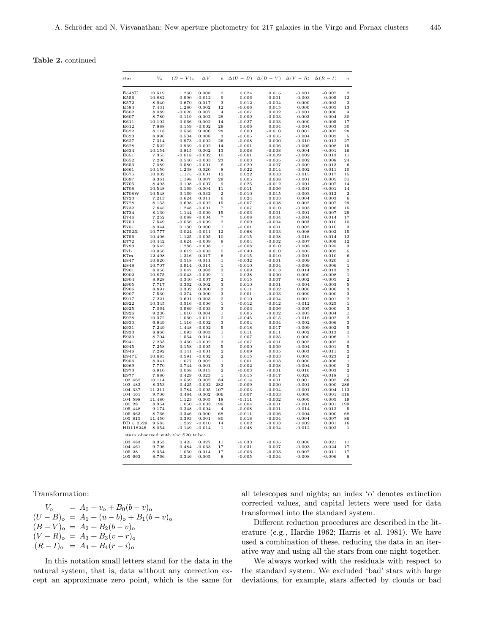# Table 2. continued

| star                              | $V_{\rm s}$      | $(B-V)_{\rm s}$ | $\Delta V$           |                      | n $\Delta(U-B)$ $\Delta(B-V)$ $\Delta(V-R)$ $\Delta(R-I)$ |                   |                      |                      | $\boldsymbol{n}$            |  |  |
|-----------------------------------|------------------|-----------------|----------------------|----------------------|-----------------------------------------------------------|-------------------|----------------------|----------------------|-----------------------------|--|--|
| E548U                             | 10.519           | 1.260           | 0.008                | $\overline{2}$       | 0.024                                                     | 0.015             | $-0.001$             | $-0.007$             | $\overline{2}$              |  |  |
| E556                              | 10.882           | 0.990           | $-0.012$             | $\mathbf Q$          | 0.006                                                     | 0.001             | $-0.003$             | 0.005                | $12\,$                      |  |  |
| E572                              | 8.940            | 0.670           | 0.017                | 3                    | 0.012                                                     | $-0.004$          | 0.000                | $-0.002$             | 3                           |  |  |
| E584                              | 7.431            | 1.280           | 0.002                | 12                   | $-0.006$                                                  | 0.015             | 0.000                | $-0.005$             | 13                          |  |  |
| E602                              | 8.089            | $-0.026$        | 0.007                | $\overline{4}$       | $-0.007$                                                  | 0.002             | $-0.001$             | 0.000                | $\overline{4}$              |  |  |
| E607                              | 8.780            | 0.119           | 0.002                | 28                   | $-0.009$                                                  | $-0.003$          | 0.003                | 0.004                | 30                          |  |  |
| E611                              | 10.102           | 0.066           | 0.002                | 14                   | $-0.027$                                                  | 0.003             | 0.000                | 0.005                | 17                          |  |  |
| E612                              | 7.888            | 0.159           | $-0.002$             | 29                   | 0.006                                                     | 0.004             | $-0.004$             | 0.003                | 30                          |  |  |
| E622                              | 8.118            | 0.568           | 0.006                | 28                   | 0.000                                                     | $-0.010$          | 0.001                | $-0.002$             | 28                          |  |  |
| E623<br>E627                      | 8.996<br>7.314   | 0.534<br>0.973  | 0.008<br>$-0.002$    | 3<br>26              | $-0.005$<br>$-0.008$                                      | $-0.005$<br>0.000 | $-0.004$<br>$-0.010$ | 0.002<br>0.012       | 5<br>27                     |  |  |
| E628                              | 7.522            | 0.939           | $-0.002$             | 14                   | $-0.001$                                                  | 0.006             | $-0.005$             | 0.008                | 15                          |  |  |
| E634                              | 10.154           | 0.815           | 0.002                | 13                   | 0.008                                                     | $-0.008$          | 0.004                | $-0.001$             | 16                          |  |  |
| E651                              | 7.355            | $-0.018$        | $-0.002$             | 10                   | $-0.001$                                                  | $-0.009$          | $-0.002$             | 0.013                | 11                          |  |  |
| E652                              | 7.206            | 0.540           | $-0.003$             | 23                   | 0.003                                                     | $-0.005$          | $-0.002$             | 0.008                | 24                          |  |  |
| E653                              | 7.089            | 0.580           | $-0.001$             | 6                    | $-0.029$                                                  | 0.007             | $-0.009$             | 0.013                | 6                           |  |  |
| E661                              | 10.150           | 1.238           | 0.020                | 8                    | 0.022                                                     | 0.014             | $-0.002$             | 0.011                | 10                          |  |  |
| E675                              | 10.002           | 1.175           | $-0.001$             | 12                   | 0.022                                                     | 0.003             | $-0.015$             | 0.017                | 15                          |  |  |
| E697                              | 8.361            | 1.198           | 0.007                | 29                   | 0.005                                                     | 0.008             | $-0.001$             | 0.005                | 31                          |  |  |
| E705                              | 8.493            | 0.108           | $-0.007$             | 9                    | 0.025                                                     | $-0.012$          | $-0.001$             | $-0.007$             | 14                          |  |  |
| E708<br>E708W                     | 10.548<br>10.548 | 0.169<br>0.169  | 0.004<br>0.032       | 11<br>$\overline{2}$ | $-0.011$<br>$-0.010$                                      | 0.006<br>$-0.015$ | $-0.001$<br>$-0.003$ | $-0.001$<br>$-0.012$ | 14<br>$\overline{2}$        |  |  |
| E723                              | 7.213            | 0.624           | 0.011                | 6                    | 0.024                                                     | 0.003             | 0.004                | 0.003                | 6                           |  |  |
| E728                              | 8.153            | 0.698           | $-0.002$             | 1.5                  | $-0.007$                                                  | $-0.008$          | 0.002                | 0.007                | 29                          |  |  |
| E732                              | 7.645            | 1.248           | $-0.001$             | $\overline{7}$       | 0.007                                                     | 0.010             | $-0.003$             | 0.006                | 15                          |  |  |
| E734                              | 8.130            | 1.144           | $-0.009$             | 15                   | $-0.003$                                                  | 0.001             | $-0.001$             | 0.007                | 29                          |  |  |
| E746                              | 7.252            | 0.088           | $-0.004$             | $\overline{7}$       | 0.008                                                     | 0.004             | $-0.004$             | 0.014                | 17                          |  |  |
| E750                              | 7.549            | $-0.056$        | $-0.009$             | $\overline{2}$       | 0.009                                                     | $-0.004$          | 0.003                | 0.010                | 10                          |  |  |
| E751                              | 8.344            | 0.130           | 0.000                | $\mathbf{1}$         | $-0.001$                                                  | 0.001             | 0.002                | 0.010                | 3                           |  |  |
| E752X                             | 10.777           | 0.024           | $-0.011$             | 12                   | 0.068                                                     | 0.003             | 0.008                | 0.002                | 15                          |  |  |
| E756                              | 10.406           | 1.125           | $-0.005$             | 10                   | $-0.015$                                                  | 0.008             | $-0.016$             | 0.014                | 12                          |  |  |
| E772<br>E793                      | 10.442<br>9.542  | 0.624<br>1.286  | $-0.009$<br>$-0.008$ | 9<br>$\,1\,$         | 0.004<br>$-0.008$                                         | $-0.002$<br>0.010 | $-0.007$<br>$-0.008$ | 0.009<br>0.025       | $12\,$<br>3                 |  |  |
| E7b                               | 10.956           | 0.612           | $-0.003$             | 5                    | $-0.040$                                                  | 0.010             | $-0.005$             | 0.002                | 5                           |  |  |
| E7m                               | 12.498           | 1.316           | 0.017                | 6                    | 0.015                                                     | 0.010             | $-0.001$             | 0.010                | 6                           |  |  |
| E847                              | 10.620           | 0.518           | 0.011                | $\mathbf 1$          | $-0.032$                                                  | $-0.001$          | $-0.009$             | 0.020                | $\mathbf 1$                 |  |  |
| E848                              | 10.707           | 0.914           | 0.014                | $\mathbf{1}$         | $-0.010$                                                  | 0.004             | $-0.009$             | 0.006                | $\mathbf{1}$                |  |  |
| E901                              | 8.056            | 0.047           | 0.003                | $\overline{2}$       | 0.009                                                     | 0.013             | 0.014                | $-0.013$             | $\overline{2}$              |  |  |
| E902                              | 10.875           | $-0.043$        | $-0.009$             | $\mathbf 1$          | 0.028                                                     | 0.000             | 0.000                | $-0.008$             | $\mathbf{1}$                |  |  |
| E904                              | 8.928            | 0.340           | $-0.007$             | $\overline{2}$       | 0.015                                                     | 0.007             | 0.002                | $-0.005$             | $\mathcal{D}$               |  |  |
| E905<br>E906                      | 7.717<br>8.891   | 0.362<br>0.302  | 0.002<br>0.000       | 3<br>3               | 0.010<br>0.011                                            | 0.001<br>0.002    | $-0.004$<br>0.000    | 0.003<br>$-0.006$    | 5<br>3                      |  |  |
| E907                              | 7.530            | 0.374           | 0.000                | 3                    | 0.001                                                     | $-0.003$          | 0.000                | 0.000                | 3                           |  |  |
| E917                              | 7.221            | 0.601           | 0.003                | $\overline{2}$       | 0.010                                                     | $-0.004$          | 0.001                | 0.001                | $\overline{2}$              |  |  |
| E922                              | 10.345           | 0.516           | $-0.006$             | 1                    | $-0.012$                                                  | $-0.012$          | $-0.012$             | 0.025                | 1                           |  |  |
| E925                              | 7.064            | 0.989           | $-0.003$             | 3                    | 0.003                                                     | 0.006             | $-0.005$             | 0.000                | 3                           |  |  |
| E926                              | 9.230            | 1.010           | 0.004                | $\mathbf 1$          | 0.005                                                     | $-0.002$          | $-0.003$             | 0.004                | $\mathbf 1$                 |  |  |
| E928                              | 10.372           | 1.060           | $-0.011$             | $\overline{2}$       | $-0.045$                                                  | $-0.015$          | $-0.016$             | $-0.002$             | $\overline{2}$              |  |  |
| E930                              | 6.849            | 1.116           | $-0.002$             | 3                    | 0.004                                                     | 0.004             | $-0.002$             | $-0.006$             | 3                           |  |  |
| E931                              | 7.249            | 1.448           | $-0.002$             | 5<br>1               | $-0.018$                                                  | 0.017             | $-0.009$             | $-0.002$             | 5                           |  |  |
| E933<br>E939                      | 8.866<br>8.704   | 1.093<br>1.554  | 0.003<br>0.014       | $\mathbf 1$          | 0.011<br>0.007                                            | 0.011<br>0.025    | 0.002<br>0.000       | $-0.013$<br>$-0.006$ | $\mathbf{1}$<br>$\mathbf 1$ |  |  |
| E941                              | 7.233            | 0.460           | $-0.002$             | 3                    | $-0.007$                                                  | $-0.001$          | 0.002                | 0.002                | 3                           |  |  |
| E945                              | 7.258            | 0.158           | $-0.005$             | 5                    | 0.000                                                     | 0.009             | $-0.004$             | 0.001                | 5                           |  |  |
| E946                              | 7.292            | 0.141           | $-0.001$             | $\overline{2}$       | 0.009                                                     | 0.005             | 0.003                | $-0.011$             | $\overline{2}$              |  |  |
| E947U                             | 10.685           | 0.591           | $-0.002$             | $\overline{2}$       | 0.015                                                     | $-0.003$          | 0.005                | $-0.023$             | $\overline{2}$              |  |  |
| E956                              | 8.341            | 1.077           | 0.002                | $\mathbf{1}$         | 0.001                                                     | $-0.003$          | 0.000                | $-0.006$             | $\mathbf{1}$                |  |  |
| E969                              | 7.770            | 0.744           | 0.001                | 3                    | $-0.002$                                                  | 0.008             | $-0.004$             | 0.000                | 3                           |  |  |
| E973                              | 6.910            | 0.068           | 0.015                | $\overline{2}$       | $-0.003$                                                  | $-0.001$          | 0.010                | $-0.003$             | $\overline{2}$              |  |  |
| E977<br>103 462                   | 7.680            | 0.429<br>0.569  | 0.023                | $\mathbf{1}$<br>84   | 0.015                                                     | $-0.017$          | 0.026                | $-0.018$<br>0.002    | $\overline{1}$<br>86        |  |  |
| 103 483                           | 10.114<br>8.353  | 0.425           | 0.002<br>$-0.002$    | 282                  | $-0.014$<br>$-0.009$                                      | 0.001<br>0.000    | 0.001<br>$-0.001$    | 0.000                | 286                         |  |  |
| 104 337                           | 11.211           | 0.784           | $-0.005$             | 107                  | $-0.003$                                                  | $-0.004$          | $-0.001$             | $-0.004$             | 113                         |  |  |
| 104 461                           | 9.706            | 0.484           | 0.002                | 406                  | 0.007                                                     | $-0.003$          | 0.000                | 0.001                | 416                         |  |  |
| 104 598                           | 11.480           | 1.123           | 0.005                | 18                   | $-0.111$                                                  | $-0.002$          | 0.000                | 0.005                | 19                          |  |  |
| 105 28                            | 8.354            | 1.050           | $-0.003$             | 199                  | $-0.004$                                                  | $-0.001$          | $-0.001$             | $-0.001$             | 199                         |  |  |
| 105 448                           | 9.174            | 0.248           | $-0.004$             | $\overline{4}$       | $-0.008$                                                  | $-0.001$          | $-0.014$             | 0.012                | 5                           |  |  |
| 105 663                           | 8.766            | 0.346           | 0.000                | 68                   | $-0.011$                                                  | $-0.006$          | $-0.004$             | 0.000                | 68                          |  |  |
| 105 815                           | 11.450           | 0.393           | 0.001                | 80                   | 0.018                                                     | $-0.004$          | 0.004                | $-0.007$             | 86                          |  |  |
| BD 5 2529                         | 9.585            | 1.262           | $-0.010$             | 14                   | 0.002                                                     | $-0.003$          | $-0.002$             | 0.001                | 16                          |  |  |
| HD118246                          | 8.054            | $-0.149$        | $-0.014$             | $\mathbf{1}$         | $-0.048$                                                  | $-0.004$          | $-0.012$             | 0.002                | $\mathbf{1}$                |  |  |
| stars observed with the S20 tube: |                  |                 |                      |                      |                                                           |                   |                      |                      |                             |  |  |
| 103 483<br>104 461                | 8.353<br>9.706   | 0.425<br>0.484  | 0.027<br>$-0.033$    | $1\,1$<br>17         | $-0.033$<br>0.031                                         | $-0.005$<br>0.007 | 0.000<br>$-0.003$    | 0.021<br>$-0.024$    | 11<br>17                    |  |  |
| 105 28                            | 8.354            | 1.050           | 0.014                | 17                   | $-0.006$                                                  | $-0.003$          | 0.007                | 0.011                | 17                          |  |  |
| 105 663                           | 8.766            | 0.346           | 0.005                | 8                    | $-0.005$                                                  | $-0.004$          | $-0.008$             | $-0.006$             | 8                           |  |  |
|                                   |                  |                 |                      |                      |                                                           |                   |                      |                      |                             |  |  |

## Transformation:

 $V_o$  =  $A_0 + v_o + B_0(b - v)_o$  $(U - B)_{o} = A_1 + (u - b)_{o} + B_1(b - v)_{o}$  $(B - V)_{o} = A_2 + B_2(b - v)_{o}$  $(V - R)_{o} = A_3 + B_3(v - r)_{o}$  $(R - I)_{o} = A_4 + B_4(r - i)_{o}$ 

In this notation small letters stand for the data in the natural system, that is, data without any correction except an approximate zero point, which is the same for all telescopes and nights; an index 'o' denotes extinction corrected values, and capital letters were used for data transformed into the standard system.

Different reduction procedures are described in the literature (e.g., Hardie 1962; Harris et al. 1981). We have used a combination of these, reducing the data in an iterative way and using all the stars from one night together.

We always worked with the residuals with respect to the standard system. We excluded 'bad' stars with large deviations, for example, stars affected by clouds or bad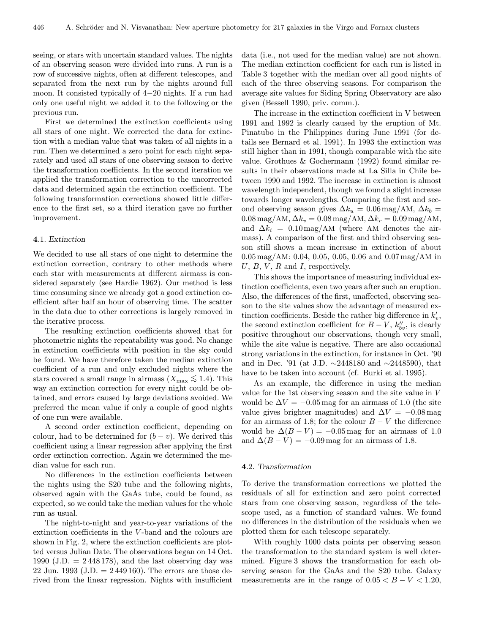seeing, or stars with uncertain standard values. The nights of an observing season were divided into runs. A run is a row of successive nights, often at different telescopes, and separated from the next run by the nights around full moon. It consisted typically of 4−20 nights. If a run had only one useful night we added it to the following or the previous run.

First we determined the extinction coefficients using all stars of one night. We corrected the data for extinction with a median value that was taken of all nights in a run. Then we determined a zero point for each night separately and used all stars of one observing season to derive the transformation coefficients. In the second iteration we applied the transformation correction to the uncorrected data and determined again the extinction coefficient. The following transformation corrections showed little difference to the first set, so a third iteration gave no further improvement.

### 4.1. Extinction

We decided to use all stars of one night to determine the extinction correction, contrary to other methods where each star with measurements at different airmass is considered separately (see Hardie 1962). Our method is less time consuming since we already got a good extinction coefficient after half an hour of observing time. The scatter in the data due to other corrections is largely removed in the iterative process.

The resulting extinction coefficients showed that for photometric nights the repeatability was good. No change in extinction coefficients with position in the sky could be found. We have therefore taken the median extinction coefficient of a run and only excluded nights where the stars covered a small range in airmass ( $X_{\text{max}} \lesssim 1.4$ ). This way an extinction correction for every night could be obtained, and errors caused by large deviations avoided. We preferred the mean value if only a couple of good nights of one run were available.

A second order extinction coefficient, depending on colour, had to be determined for  $(b - v)$ . We derived this coefficient using a linear regression after applying the first order extinction correction. Again we determined the median value for each run.

No differences in the extinction coefficients between the nights using the S20 tube and the following nights, observed again with the GaAs tube, could be found, as expected, so we could take the median values for the whole run as usual.

The night-to-night and year-to-year variations of the extinction coefficients in the V-band and the colours are shown in Fig. 2, where the extinction coefficients are plotted versus Julian Date. The observations began on 14 Oct. 1990 (J.D.  $= 2448178$ ), and the last observing day was 22 Jun. 1993 (J.D.  $= 2449160$ ). The errors are those derived from the linear regression. Nights with insufficient data (i.e., not used for the median value) are not shown. The median extinction coefficient for each run is listed in Table 3 together with the median over all good nights of each of the three observing seasons. For comparison the average site values for Siding Spring Observatory are also given (Bessell 1990, priv. comm.).

The increase in the extinction coefficient in V between 1991 and 1992 is clearly caused by the eruption of Mt. Pinatubo in the Philippines during June 1991 (for details see Bernard et al. 1991). In 1993 the extinction was still higher than in 1991, though comparable with the site value. Grothues & Gochermann (1992) found similar results in their observations made at La Silla in Chile between 1990 and 1992. The increase in extinction is almost wavelength independent, though we found a slight increase towards longer wavelengths. Comparing the first and second observing season gives  $\Delta k_u = 0.06 \text{mag/AM}, \Delta k_b =$  $0.08 \,\text{mag/AM}, \Delta k_v = 0.08 \,\text{mag/AM}, \Delta k_r = 0.09 \,\text{mag/AM},$ and  $\Delta k_i = 0.10 \,\text{mag/AM}$  (where AM denotes the airmass). A comparison of the first and third observing season still shows a mean increase in extinction of about 0.05 mag/AM: 0.04, 0.05, 0.05, 0.06 and 0.07 mag/AM in  $U, B, V, R$  and I, respectively.

This shows the importance of measuring individual extinction coefficients, even two years after such an eruption. Also, the differences of the first, unaffected, observing season to the site values show the advantage of measured extinction coefficients. Beside the rather big difference in  $k'_v$ , the second extinction coefficient for  $B - V$ ,  $k_{bv}''$ , is clearly positive throughout our observations, though very small, while the site value is negative. There are also occasional strong variations in the extinction, for instance in Oct. '90 and in Dec. '91 (at J.D.  $\sim$ 2448180 and  $\sim$ 2448590), that have to be taken into account (cf. Burki et al. 1995).

As an example, the difference in using the median value for the 1st observing season and the site value in V would be  $\Delta V = -0.05$  mag for an airmass of 1.0 (the site value gives brighter magnitudes) and  $\Delta V = -0.08$  mag for an airmass of 1.8; for the colour  $B - V$  the difference would be  $\Delta(B-V) = -0.05$  mag for an airmass of 1.0 and  $\Delta(B - V) = -0.09$  mag for an airmass of 1.8.

# 4.2. Transformation

To derive the transformation corrections we plotted the residuals of all for extinction and zero point corrected stars from one observing season, regardless of the telescope used, as a function of standard values. We found no differences in the distribution of the residuals when we plotted them for each telescope separately.

With roughly 1000 data points per observing season the transformation to the standard system is well determined. Figure 3 shows the transformation for each observing season for the GaAs and the S20 tube. Galaxy measurements are in the range of  $0.05 < B - V < 1.20$ ,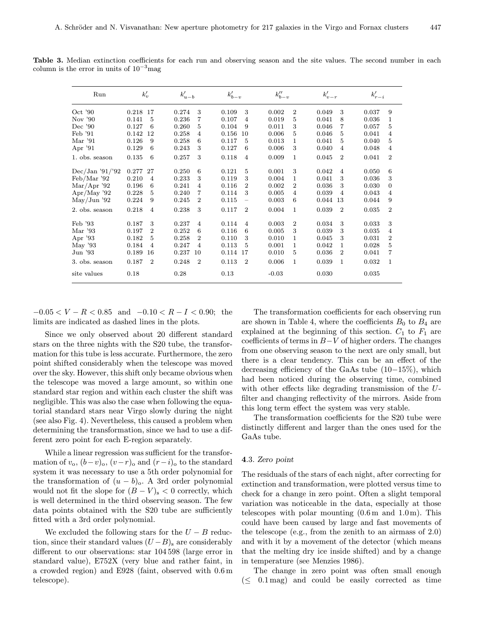| Run                         | $k_v'$         | $k'_{u-b}$     | $k'_{b-v}$     | $k_{b-v}''$    | $k'_{v-r}$     | $k'_{r-i}$     |
|-----------------------------|----------------|----------------|----------------|----------------|----------------|----------------|
| $Oct$ '90                   | 0.218          | 3              | 3              | $\overline{2}$ | 3              | 0.037          |
|                             | -17            | 0.274          | 0.109          | 0.002          | 0.049          | 9              |
| Nov '90                     | 0.141          | 0.236          | 0.107          | 0.019          | 0.041          | 0.036          |
|                             | 5              | 7              | 4              | 5              | 8              | 1              |
| Dec '90                     | 0.127          | 0.260          | 0.104          | 3              | 7              | 5              |
|                             | 6              | 5              | 9              | 0.011          | 0.046          | 0.057          |
| $\text{Feb}$ '91            | 0.142          | 0.258          | 0.156          | 5              | 0.046          | $\overline{4}$ |
|                             | 12             | 4              | 10             | 0.006          | 5              | 0.041          |
| $Mar$ '91                   | 0.126          | 0.258          | 0.117          | 0.013          | 0.041          | 5              |
|                             | 9              | 6              | 5              | 1              | 5              | 0.040          |
| Apr '91                     | 0.129          | 3              | 0.127          | 3              | 0.040          | 0.048          |
|                             | 6              | 0.243          | 6              | 0.006          | 4              | $\overline{4}$ |
| 1. obs. season              | 0.135          | 3              | 0.118          | 0.009          | 0.045          | $\overline{2}$ |
|                             | 6              | 0.257          | $\overline{4}$ | $\mathbf{1}$   | $\mathbf{2}$   | 0.041          |
| Dec/Jan 91/92               | 0.277          | 0.250          | 0.121          | 3              | 0.042          | 6              |
|                             | 27             | 6              | 5              | 0.001          | $\overline{4}$ | 0.050          |
| Feb/Mar $'92$               | 0.210          | 3              | 3              | 0.004          | 3              | 3              |
|                             | $\overline{4}$ | 0.233          | 0.119          | $\mathbf{1}$   | 0.041          | 0.036          |
| $\text{Mar}/\text{Apr}$ '92 | 0.196          | 0.241          | 0.116          | 0.002          | 0.036          | 0.030          |
|                             | 6              | 4              | $\overline{2}$ | $\overline{2}$ | 3              | $\overline{0}$ |
| Apr/May $'92$               | 0.228          | 0.240          | 3              | 0.005          | 0.039          | 0.043          |
|                             | 5              | 7              | 0.114          | 4              | 4              | 4              |
| May/Jun '92                 | 0.224          | $\mathbf{2}$   | 0.115          | 6              | 0.044          | 9              |
|                             | 9              | 0.245          |                | 0.003          | 13             | 0.044          |
| 2. obs. season              | 0.218          | 3              | $\mathbf{2}$   | 0.004          | 0.039          | $\overline{2}$ |
|                             | $\overline{4}$ | 0.238          | 0.117          | $\mathbf{1}$   | $\overline{2}$ | 0.035          |
| Feb '93                     | 3              | 0.237          | 0.114          | 0.003          | 3              | 3              |
|                             | 0.187          | 4              | $\overline{4}$ | $\overline{2}$ | 0.034          | 0.033          |
| Mar '93                     | $\overline{2}$ | 0.252          | 0.116          | 3              | 3              | 0.035          |
|                             | 0.197          | 6              | 6              | 0.005          | 0.039          | 4              |
| Apr '93                     | 0.182          | 0.258          | 3              | 0.010          | 3              | $\overline{2}$ |
|                             | 5              | $\mathbf 2$    | 0.110          | $\mathbf{1}$   | 0.045          | 0.031          |
| May '93                     | 0.184          | 0.247          | 5              | 0.001          | 0.042          | 5              |
|                             | 4              | 4              | 0.113          | 1              | $\mathbf{1}$   | 0.028          |
| Jun '93                     | 0.189          | 0.237          | 0.114          | 0.010          | 0.036          | 7              |
|                             | 16             | 10             | 17             | 5              | $\overline{2}$ | 0.041          |
| 3. obs. season              | 0.187          | 0.248          | 0.113          | 0.006          | 0.039          | $\mathbf{1}$   |
|                             | $\overline{2}$ | $\overline{2}$ | $\overline{2}$ | $\mathbf{1}$   | $\mathbf{1}$   | 0.032          |
| site values                 | 0.18           | 0.28           | 0.13           | $-0.03$        | 0.030          | 0.035          |

Table 3. Median extinction coefficients for each run and observing season and the site values. The second number in each column is the error in units of  $10^{-3}$ mag

 $-0.05 < V - R < 0.85$  and  $-0.10 < R - I < 0.90$ ; the limits are indicated as dashed lines in the plots.

Since we only observed about 20 different standard stars on the three nights with the S20 tube, the transformation for this tube is less accurate. Furthermore, the zero point shifted considerably when the telescope was moved over the sky. However, this shift only became obvious when the telescope was moved a large amount, so within one standard star region and within each cluster the shift was negligible. This was also the case when following the equatorial standard stars near Virgo slowly during the night (see also Fig. 4). Nevertheless, this caused a problem when determining the transformation, since we had to use a different zero point for each E-region separately.

While a linear regression was sufficient for the transformation of  $v_0$ ,  $(b-v)_0$ ,  $(v-r)_0$  and  $(r-i)_0$  to the standard system it was necessary to use a 5th order polynomial for the transformation of  $(u - b)$ <sub>o</sub>. A 3rd order polynomial would not fit the slope for  $(B - V)_{s} < 0$  correctly, which is well determined in the third observing season. The few data points obtained with the S20 tube are sufficiently fitted with a 3rd order polynomial.

We excluded the following stars for the  $U - B$  reduction, since their standard values  $(U - B)$ <sub>s</sub> are considerably different to our observations: star 104 598 (large error in standard value), E752X (very blue and rather faint, in a crowded region) and E928 (faint, observed with 0.6 m telescope).

The transformation coefficients for each observing run are shown in Table 4, where the coefficients  $B_0$  to  $B_4$  are explained at the beginning of this section.  $C_1$  to  $F_1$  are coefficients of terms in  $B-V$  of higher orders. The changes from one observing season to the next are only small, but there is a clear tendency. This can be an effect of the decreasing efficiency of the GaAs tube (10−15%), which had been noticed during the observing time, combined with other effects like degrading transmission of the Ufilter and changing reflectivity of the mirrors. Aside from this long term effect the system was very stable.

The transformation coefficients for the S20 tube were distinctly different and larger than the ones used for the GaAs tube.

#### 4.3. Zero point

The residuals of the stars of each night, after correcting for extinction and transformation, were plotted versus time to check for a change in zero point. Often a slight temporal variation was noticeable in the data, especially at those telescopes with polar mounting  $(0.6 \text{ m and } 1.0 \text{ m})$ . This could have been caused by large and fast movements of the telescope (e.g., from the zenith to an airmass of 2.0) and with it by a movement of the detector (which means that the melting dry ice inside shifted) and by a change in temperature (see Menzies 1986).

The change in zero point was often small enough  $(\leq 0.1 \,\text{mag})$  and could be easily corrected as time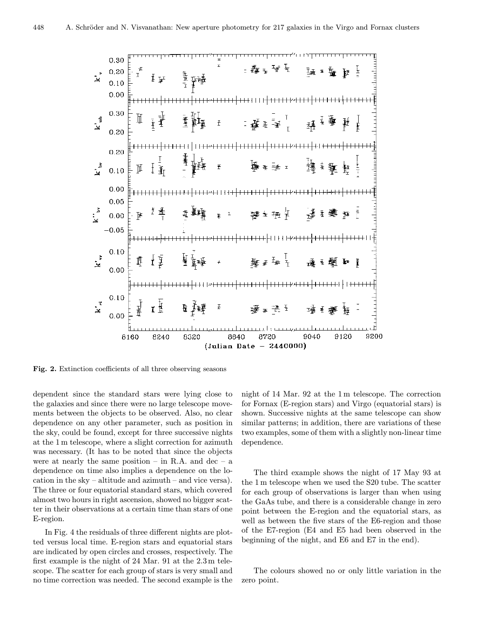

Fig. 2. Extinction coefficients of all three observing seasons

dependent since the standard stars were lying close to the galaxies and since there were no large telescope movements between the objects to be observed. Also, no clear dependence on any other parameter, such as position in the sky, could be found, except for three successive nights at the 1 m telescope, where a slight correction for azimuth was necessary. (It has to be noted that since the objects were at nearly the same position – in R.A. and dec – a dependence on time also implies a dependence on the location in the sky – altitude and azimuth – and vice versa). The three or four equatorial standard stars, which covered almost two hours in right ascension, showed no bigger scatter in their observations at a certain time than stars of one E-region.

In Fig. 4 the residuals of three different nights are plotted versus local time. E-region stars and equatorial stars are indicated by open circles and crosses, respectively. The first example is the night of 24 Mar. 91 at the 2.3 m telescope. The scatter for each group of stars is very small and no time correction was needed. The second example is the night of 14 Mar. 92 at the 1 m telescope. The correction for Fornax (E-region stars) and Virgo (equatorial stars) is shown. Successive nights at the same telescope can show similar patterns; in addition, there are variations of these two examples, some of them with a slightly non-linear time dependence.

The third example shows the night of 17 May 93 at the 1 m telescope when we used the S20 tube. The scatter for each group of observations is larger than when using the GaAs tube, and there is a considerable change in zero point between the E-region and the equatorial stars, as well as between the five stars of the E6-region and those of the E7-region (E4 and E5 had been observed in the beginning of the night, and E6 and E7 in the end).

The colours showed no or only little variation in the zero point.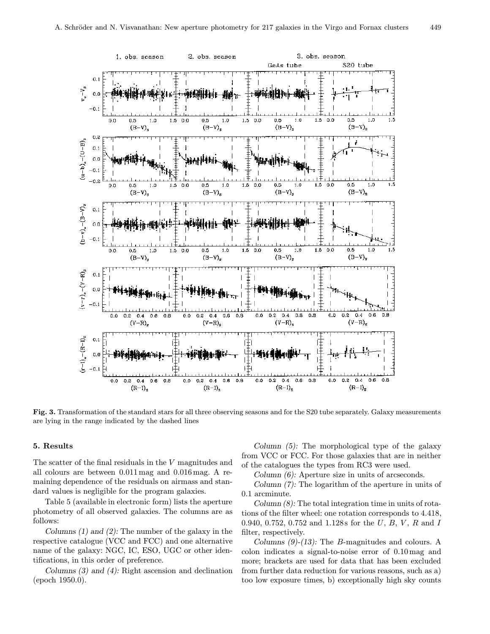

Fig. 3. Transformation of the standard stars for all three observing seasons and for the S20 tube separately. Galaxy measurements are lying in the range indicated by the dashed lines

## 5. Results

The scatter of the final residuals in the V magnitudes and all colours are between 0.011 mag and 0.016 mag. A remaining dependence of the residuals on airmass and standard values is negligible for the program galaxies.

Table 5 (available in electronic form) lists the aperture photometry of all observed galaxies. The columns are as follows:

Columns  $(1)$  and  $(2)$ : The number of the galaxy in the respective catalogue (VCC and FCC) and one alternative name of the galaxy: NGC, IC, ESO, UGC or other identifications, in this order of preference.

Columns (3) and (4): Right ascension and declination (epoch 1950.0).

Column (5): The morphological type of the galaxy from VCC or FCC. For those galaxies that are in neither of the catalogues the types from RC3 were used.

Column (6): Aperture size in units of arcseconds.

Column (7): The logarithm of the aperture in units of 0.1 arcminute.

 $Column (8):$  The total integration time in units of rotations of the filter wheel: one rotation corresponds to 4.418, 0.940, 0.752, 0.752 and 1.128s for the  $U, B, V, R$  and  $I$ filter, respectively.

Columns  $(9)-(13)$ : The B-magnitudes and colours. A colon indicates a signal-to-noise error of 0.10 mag and more; brackets are used for data that has been excluded from further data reduction for various reasons, such as a) too low exposure times, b) exceptionally high sky counts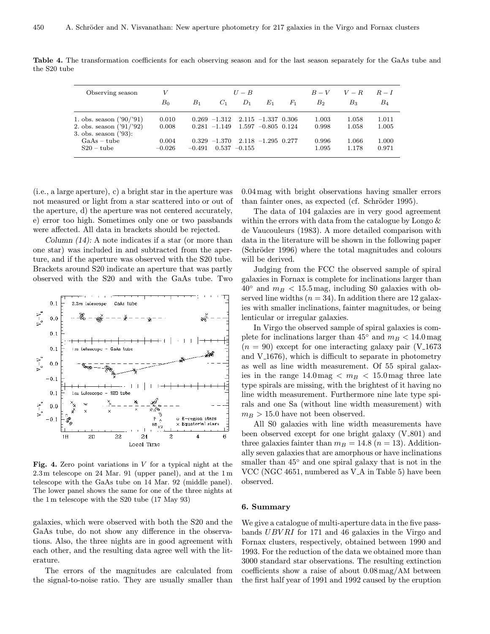| Observing season                                          | V                 | $U - B$                            |          |                |                                                |          | $B-V$          | $V-R$          | $R-I$          |
|-----------------------------------------------------------|-------------------|------------------------------------|----------|----------------|------------------------------------------------|----------|----------------|----------------|----------------|
|                                                           | $B_0$             | $B_1$                              | $C_1$    | $D_1$          | $E_1$                                          | $_{F_1}$ | В2             | $B_3$          | $B_4$          |
| 1. obs. season $('90/'91)$<br>2. obs. season $('91/'92)$  | 0.010<br>0.008    | $0.269 - 1.312$<br>$0.281 - 1.149$ |          |                | $2.115 - 1.337$ 0.306<br>$1.597 - 0.805 0.124$ |          | 1.003<br>0.998 | 1.058<br>1.058 | 1.011<br>1.005 |
| 3. obs. season $('93)$ :<br>$GaAs - tube$<br>$S20 - tube$ | 0.004<br>$-0.026$ | 0.329<br>$-0.491$                  | $-1.370$ | $0.537 -0.155$ | $2.118 - 1.295 0.277$                          |          | 0.996<br>1.095 | 1.066<br>1.178 | 1.000<br>0.971 |

Table 4. The transformation coefficients for each observing season and for the last season separately for the GaAs tube and the S20 tube

(i.e., a large aperture), c) a bright star in the aperture was not measured or light from a star scattered into or out of the aperture, d) the aperture was not centered accurately, e) error too high. Sometimes only one or two passbands were affected. All data in brackets should be rejected.

Column (14): A note indicates if a star (or more than one star) was included in and subtracted from the aperture, and if the aperture was observed with the S20 tube. Brackets around S20 indicate an aperture that was partly observed with the S20 and with the GaAs tube. Two



**Fig. 4.** Zero point variations in  $V$  for a typical night at the 2.3 m telescope on 24 Mar. 91 (upper panel), and at the 1 m telescope with the GaAs tube on 14 Mar. 92 (middle panel). The lower panel shows the same for one of the three nights at the 1 m telescope with the S20 tube (17 May 93)

galaxies, which were observed with both the S20 and the GaAs tube, do not show any difference in the observations. Also, the three nights are in good agreement with each other, and the resulting data agree well with the literature.

The errors of the magnitudes are calculated from the signal-to-noise ratio. They are usually smaller than 0.04 mag with bright observations having smaller errors than fainter ones, as expected (cf. Schröder 1995).

The data of 104 galaxies are in very good agreement within the errors with data from the catalogue by Longo & de Vaucouleurs (1983). A more detailed comparison with data in the literature will be shown in the following paper  $(Schröder 1996)$  where the total magnitudes and colours will be derived.

Judging from the FCC the observed sample of spiral galaxies in Fornax is complete for inclinations larger than  $40^{\circ}$  and  $m_B < 15.5$  mag, including S0 galaxies with observed line widths  $(n = 34)$ . In addition there are 12 galaxies with smaller inclinations, fainter magnitudes, or being lenticular or irregular galaxies.

In Virgo the observed sample of spiral galaxies is complete for inclinations larger than 45° and  $m_B < 14.0$  mag  $(n = 90)$  except for one interacting galaxy pair  $(V_1 1673)$ and V 1676), which is difficult to separate in photometry as well as line width measurement. Of 55 spiral galaxies in the range  $14.0 \,\text{mag} < m_B < 15.0 \,\text{mag}$  three late type spirals are missing, with the brightest of it having no line width measurement. Furthermore nine late type spirals and one Sa (without line width measurement) with  $m_B > 15.0$  have not been observed.

All S0 galaxies with line width measurements have been observed except for one bright galaxy (V 801) and three galaxies fainter than  $m_B = 14.8$  ( $n = 13$ ). Additionally seven galaxies that are amorphous or have inclinations smaller than  $45^{\circ}$  and one spiral galaxy that is not in the VCC (NGC 4651, numbered as V A in Table 5) have been observed.

# 6. Summary

We give a catalogue of multi-aperture data in the five passbands UBV RI for 171 and 46 galaxies in the Virgo and Fornax clusters, respectively, obtained between 1990 and 1993. For the reduction of the data we obtained more than 3000 standard star observations. The resulting extinction coefficients show a raise of about 0.08 mag/AM between the first half year of 1991 and 1992 caused by the eruption